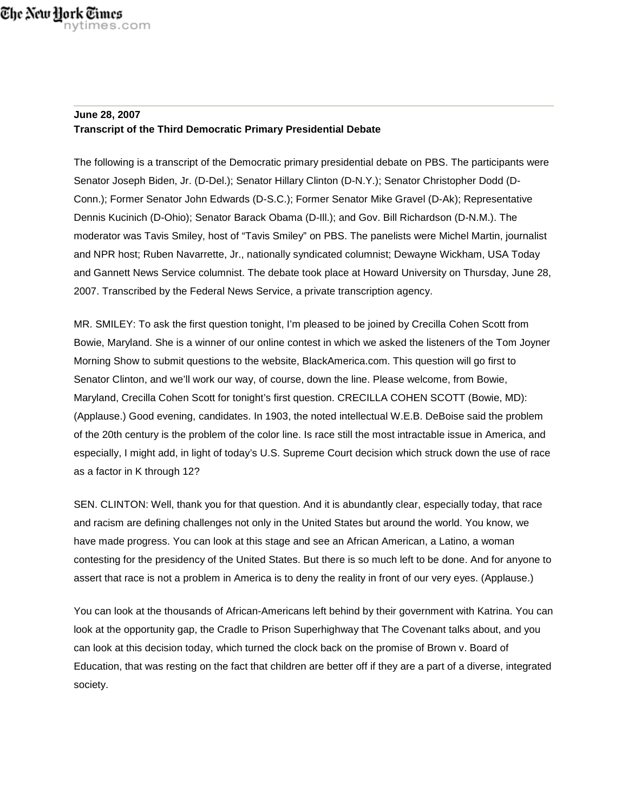# **June 28, 2007 Transcript of the Third Democratic Primary Presidential Debate**

The following is a transcript of the Democratic primary presidential debate on PBS. The participants were Senator Joseph Biden, Jr. (D-Del.); Senator Hillary Clinton (D-N.Y.); Senator Christopher Dodd (D-Conn.); Former Senator John Edwards (D-S.C.); Former Senator Mike Gravel (D-Ak); Representative Dennis Kucinich (D-Ohio); Senator Barack Obama (D-Ill.); and Gov. Bill Richardson (D-N.M.). The moderator was Tavis Smiley, host of "Tavis Smiley" on PBS. The panelists were Michel Martin, journalist and NPR host; Ruben Navarrette, Jr., nationally syndicated columnist; Dewayne Wickham, USA Today and Gannett News Service columnist. The debate took place at Howard University on Thursday, June 28, 2007. Transcribed by the Federal News Service, a private transcription agency.

MR. SMILEY: To ask the first question tonight, I'm pleased to be joined by Crecilla Cohen Scott from Bowie, Maryland. She is a winner of our online contest in which we asked the listeners of the Tom Joyner Morning Show to submit questions to the website, BlackAmerica.com. This question will go first to Senator Clinton, and we'll work our way, of course, down the line. Please welcome, from Bowie, Maryland, Crecilla Cohen Scott for tonight's first question. CRECILLA COHEN SCOTT (Bowie, MD): (Applause.) Good evening, candidates. In 1903, the noted intellectual W.E.B. DeBoise said the problem of the 20th century is the problem of the color line. Is race still the most intractable issue in America, and especially, I might add, in light of today's U.S. Supreme Court decision which struck down the use of race as a factor in K through 12?

SEN. CLINTON: Well, thank you for that question. And it is abundantly clear, especially today, that race and racism are defining challenges not only in the United States but around the world. You know, we have made progress. You can look at this stage and see an African American, a Latino, a woman contesting for the presidency of the United States. But there is so much left to be done. And for anyone to assert that race is not a problem in America is to deny the reality in front of our very eyes. (Applause.)

You can look at the thousands of African-Americans left behind by their government with Katrina. You can look at the opportunity gap, the Cradle to Prison Superhighway that The Covenant talks about, and you can look at this decision today, which turned the clock back on the promise of Brown v. Board of Education, that was resting on the fact that children are better off if they are a part of a diverse, integrated society.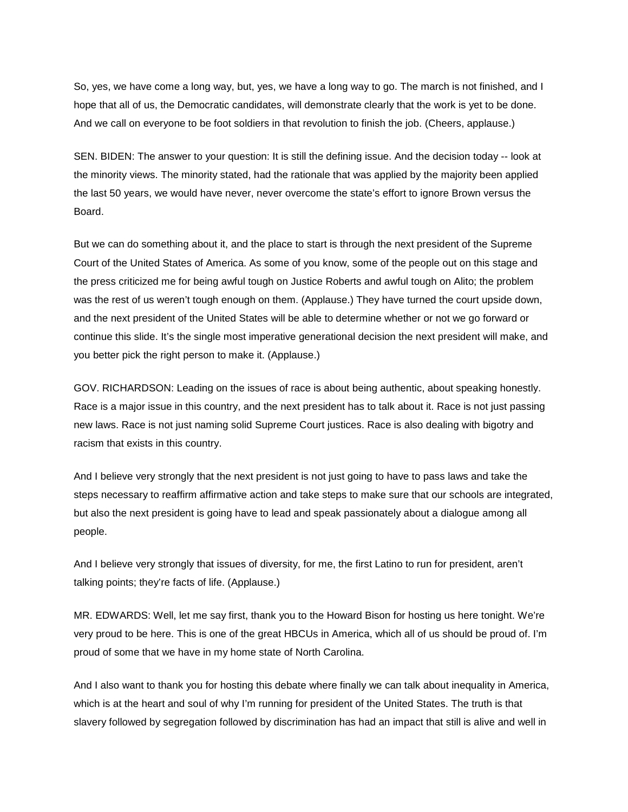So, yes, we have come a long way, but, yes, we have a long way to go. The march is not finished, and I hope that all of us, the Democratic candidates, will demonstrate clearly that the work is yet to be done. And we call on everyone to be foot soldiers in that revolution to finish the job. (Cheers, applause.)

SEN. BIDEN: The answer to your question: It is still the defining issue. And the decision today -- look at the minority views. The minority stated, had the rationale that was applied by the majority been applied the last 50 years, we would have never, never overcome the state's effort to ignore Brown versus the Board.

But we can do something about it, and the place to start is through the next president of the Supreme Court of the United States of America. As some of you know, some of the people out on this stage and the press criticized me for being awful tough on Justice Roberts and awful tough on Alito; the problem was the rest of us weren't tough enough on them. (Applause.) They have turned the court upside down, and the next president of the United States will be able to determine whether or not we go forward or continue this slide. It's the single most imperative generational decision the next president will make, and you better pick the right person to make it. (Applause.)

GOV. RICHARDSON: Leading on the issues of race is about being authentic, about speaking honestly. Race is a major issue in this country, and the next president has to talk about it. Race is not just passing new laws. Race is not just naming solid Supreme Court justices. Race is also dealing with bigotry and racism that exists in this country.

And I believe very strongly that the next president is not just going to have to pass laws and take the steps necessary to reaffirm affirmative action and take steps to make sure that our schools are integrated, but also the next president is going have to lead and speak passionately about a dialogue among all people.

And I believe very strongly that issues of diversity, for me, the first Latino to run for president, aren't talking points; they're facts of life. (Applause.)

MR. EDWARDS: Well, let me say first, thank you to the Howard Bison for hosting us here tonight. We're very proud to be here. This is one of the great HBCUs in America, which all of us should be proud of. I'm proud of some that we have in my home state of North Carolina.

And I also want to thank you for hosting this debate where finally we can talk about inequality in America, which is at the heart and soul of why I'm running for president of the United States. The truth is that slavery followed by segregation followed by discrimination has had an impact that still is alive and well in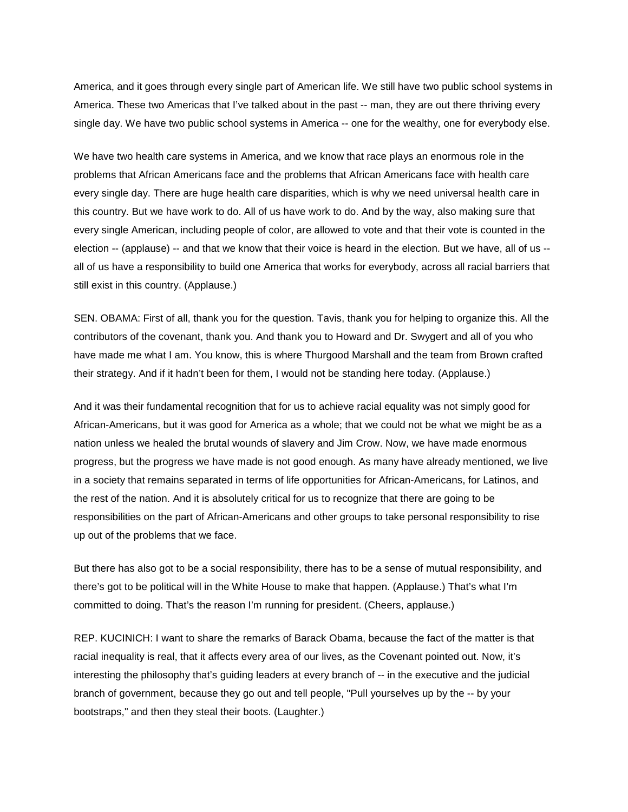America, and it goes through every single part of American life. We still have two public school systems in America. These two Americas that I've talked about in the past -- man, they are out there thriving every single day. We have two public school systems in America -- one for the wealthy, one for everybody else.

We have two health care systems in America, and we know that race plays an enormous role in the problems that African Americans face and the problems that African Americans face with health care every single day. There are huge health care disparities, which is why we need universal health care in this country. But we have work to do. All of us have work to do. And by the way, also making sure that every single American, including people of color, are allowed to vote and that their vote is counted in the election -- (applause) -- and that we know that their voice is heard in the election. But we have, all of us - all of us have a responsibility to build one America that works for everybody, across all racial barriers that still exist in this country. (Applause.)

SEN. OBAMA: First of all, thank you for the question. Tavis, thank you for helping to organize this. All the contributors of the covenant, thank you. And thank you to Howard and Dr. Swygert and all of you who have made me what I am. You know, this is where Thurgood Marshall and the team from Brown crafted their strategy. And if it hadn't been for them, I would not be standing here today. (Applause.)

And it was their fundamental recognition that for us to achieve racial equality was not simply good for African-Americans, but it was good for America as a whole; that we could not be what we might be as a nation unless we healed the brutal wounds of slavery and Jim Crow. Now, we have made enormous progress, but the progress we have made is not good enough. As many have already mentioned, we live in a society that remains separated in terms of life opportunities for African-Americans, for Latinos, and the rest of the nation. And it is absolutely critical for us to recognize that there are going to be responsibilities on the part of African-Americans and other groups to take personal responsibility to rise up out of the problems that we face.

But there has also got to be a social responsibility, there has to be a sense of mutual responsibility, and there's got to be political will in the White House to make that happen. (Applause.) That's what I'm committed to doing. That's the reason I'm running for president. (Cheers, applause.)

REP. KUCINICH: I want to share the remarks of Barack Obama, because the fact of the matter is that racial inequality is real, that it affects every area of our lives, as the Covenant pointed out. Now, it's interesting the philosophy that's guiding leaders at every branch of -- in the executive and the judicial branch of government, because they go out and tell people, "Pull yourselves up by the -- by your bootstraps," and then they steal their boots. (Laughter.)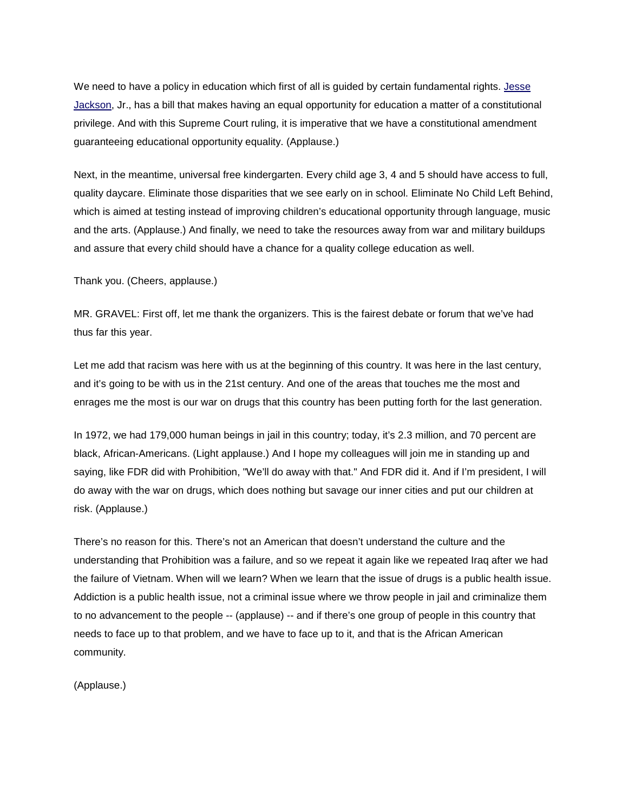We need to have a policy in education which first of all is guided by certain fundamental rights. Jesse Jackson, Jr., has a bill that makes having an equal opportunity for education a matter of a constitutional privilege. And with this Supreme Court ruling, it is imperative that we have a constitutional amendment guaranteeing educational opportunity equality. (Applause.)

Next, in the meantime, universal free kindergarten. Every child age 3, 4 and 5 should have access to full, quality daycare. Eliminate those disparities that we see early on in school. Eliminate No Child Left Behind, which is aimed at testing instead of improving children's educational opportunity through language, music and the arts. (Applause.) And finally, we need to take the resources away from war and military buildups and assure that every child should have a chance for a quality college education as well.

Thank you. (Cheers, applause.)

MR. GRAVEL: First off, let me thank the organizers. This is the fairest debate or forum that we've had thus far this year.

Let me add that racism was here with us at the beginning of this country. It was here in the last century, and it's going to be with us in the 21st century. And one of the areas that touches me the most and enrages me the most is our war on drugs that this country has been putting forth for the last generation.

In 1972, we had 179,000 human beings in jail in this country; today, it's 2.3 million, and 70 percent are black, African-Americans. (Light applause.) And I hope my colleagues will join me in standing up and saying, like FDR did with Prohibition, "We'll do away with that." And FDR did it. And if I'm president, I will do away with the war on drugs, which does nothing but savage our inner cities and put our children at risk. (Applause.)

There's no reason for this. There's not an American that doesn't understand the culture and the understanding that Prohibition was a failure, and so we repeat it again like we repeated Iraq after we had the failure of Vietnam. When will we learn? When we learn that the issue of drugs is a public health issue. Addiction is a public health issue, not a criminal issue where we throw people in jail and criminalize them to no advancement to the people -- (applause) -- and if there's one group of people in this country that needs to face up to that problem, and we have to face up to it, and that is the African American community.

(Applause.)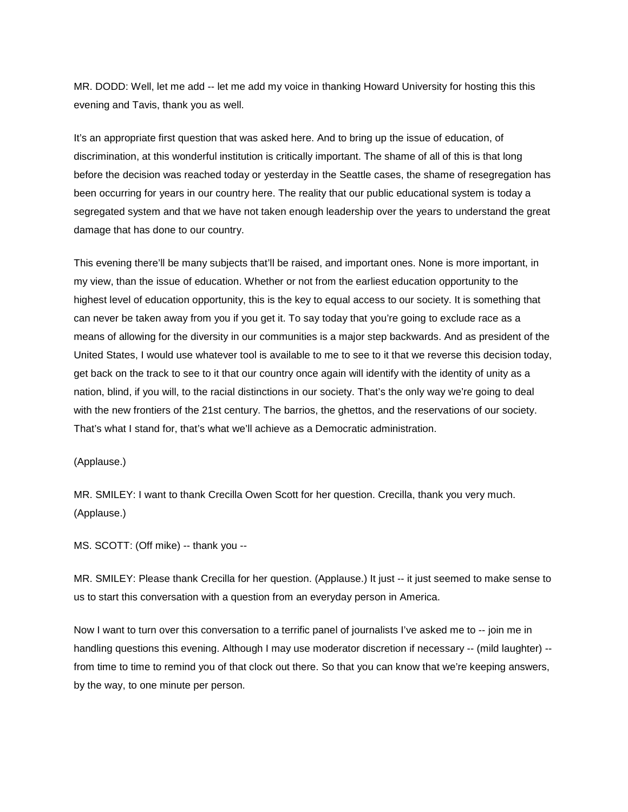MR. DODD: Well, let me add -- let me add my voice in thanking Howard University for hosting this this evening and Tavis, thank you as well.

It's an appropriate first question that was asked here. And to bring up the issue of education, of discrimination, at this wonderful institution is critically important. The shame of all of this is that long before the decision was reached today or yesterday in the Seattle cases, the shame of resegregation has been occurring for years in our country here. The reality that our public educational system is today a segregated system and that we have not taken enough leadership over the years to understand the great damage that has done to our country.

This evening there'll be many subjects that'll be raised, and important ones. None is more important, in my view, than the issue of education. Whether or not from the earliest education opportunity to the highest level of education opportunity, this is the key to equal access to our society. It is something that can never be taken away from you if you get it. To say today that you're going to exclude race as a means of allowing for the diversity in our communities is a major step backwards. And as president of the United States, I would use whatever tool is available to me to see to it that we reverse this decision today, get back on the track to see to it that our country once again will identify with the identity of unity as a nation, blind, if you will, to the racial distinctions in our society. That's the only way we're going to deal with the new frontiers of the 21st century. The barrios, the ghettos, and the reservations of our society. That's what I stand for, that's what we'll achieve as a Democratic administration.

## (Applause.)

MR. SMILEY: I want to thank Crecilla Owen Scott for her question. Crecilla, thank you very much. (Applause.)

MS. SCOTT: (Off mike) -- thank you --

MR. SMILEY: Please thank Crecilla for her question. (Applause.) It just -- it just seemed to make sense to us to start this conversation with a question from an everyday person in America.

Now I want to turn over this conversation to a terrific panel of journalists I've asked me to -- join me in handling questions this evening. Although I may use moderator discretion if necessary -- (mild laughter) - from time to time to remind you of that clock out there. So that you can know that we're keeping answers, by the way, to one minute per person.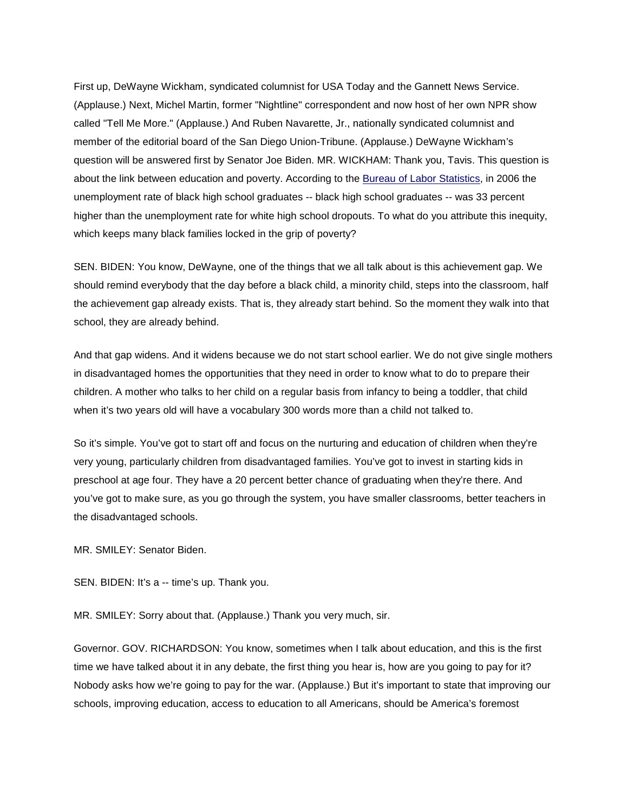First up, DeWayne Wickham, syndicated columnist for USA Today and the Gannett News Service. (Applause.) Next, Michel Martin, former "Nightline" correspondent and now host of her own NPR show called "Tell Me More." (Applause.) And Ruben Navarette, Jr., nationally syndicated columnist and member of the editorial board of the San Diego Union-Tribune. (Applause.) DeWayne Wickham's question will be answered first by Senator Joe Biden. MR. WICKHAM: Thank you, Tavis. This question is about the link between education and poverty. According to the Bureau of Labor Statistics, in 2006 the unemployment rate of black high school graduates -- black high school graduates -- was 33 percent higher than the unemployment rate for white high school dropouts. To what do you attribute this inequity, which keeps many black families locked in the grip of poverty?

SEN. BIDEN: You know, DeWayne, one of the things that we all talk about is this achievement gap. We should remind everybody that the day before a black child, a minority child, steps into the classroom, half the achievement gap already exists. That is, they already start behind. So the moment they walk into that school, they are already behind.

And that gap widens. And it widens because we do not start school earlier. We do not give single mothers in disadvantaged homes the opportunities that they need in order to know what to do to prepare their children. A mother who talks to her child on a regular basis from infancy to being a toddler, that child when it's two years old will have a vocabulary 300 words more than a child not talked to.

So it's simple. You've got to start off and focus on the nurturing and education of children when they're very young, particularly children from disadvantaged families. You've got to invest in starting kids in preschool at age four. They have a 20 percent better chance of graduating when they're there. And you've got to make sure, as you go through the system, you have smaller classrooms, better teachers in the disadvantaged schools.

MR. SMILEY: Senator Biden.

SEN. BIDEN: It's a -- time's up. Thank you.

MR. SMILEY: Sorry about that. (Applause.) Thank you very much, sir.

Governor. GOV. RICHARDSON: You know, sometimes when I talk about education, and this is the first time we have talked about it in any debate, the first thing you hear is, how are you going to pay for it? Nobody asks how we're going to pay for the war. (Applause.) But it's important to state that improving our schools, improving education, access to education to all Americans, should be America's foremost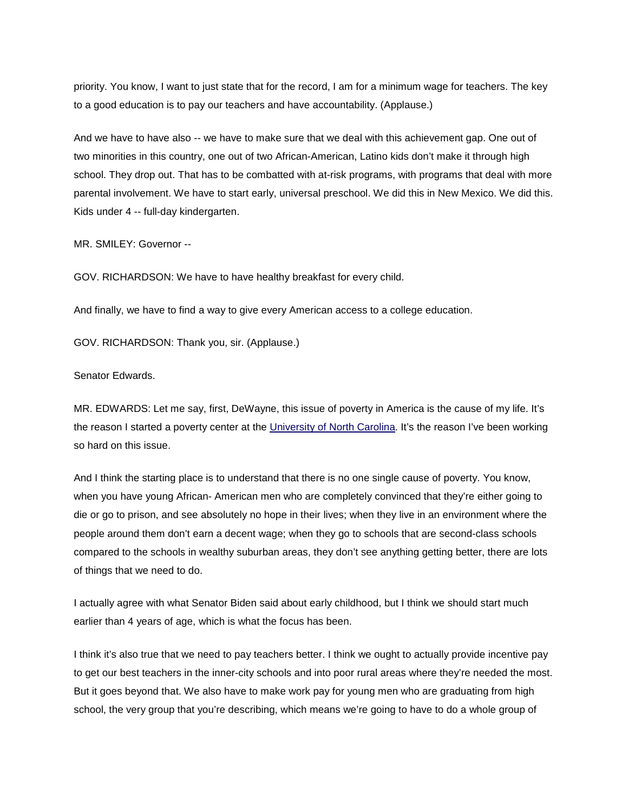priority. You know, I want to just state that for the record, I am for a minimum wage for teachers. The key to a good education is to pay our teachers and have accountability. (Applause.)

And we have to have also -- we have to make sure that we deal with this achievement gap. One out of two minorities in this country, one out of two African-American, Latino kids don't make it through high school. They drop out. That has to be combatted with at-risk programs, with programs that deal with more parental involvement. We have to start early, universal preschool. We did this in New Mexico. We did this. Kids under 4 -- full-day kindergarten.

MR. SMILEY: Governor --

GOV. RICHARDSON: We have to have healthy breakfast for every child.

And finally, we have to find a way to give every American access to a college education.

GOV. RICHARDSON: Thank you, sir. (Applause.)

Senator Edwards.

MR. EDWARDS: Let me say, first, DeWayne, this issue of poverty in America is the cause of my life. It's the reason I started a poverty center at the University of North Carolina. It's the reason I've been working so hard on this issue.

And I think the starting place is to understand that there is no one single cause of poverty. You know, when you have young African- American men who are completely convinced that they're either going to die or go to prison, and see absolutely no hope in their lives; when they live in an environment where the people around them don't earn a decent wage; when they go to schools that are second-class schools compared to the schools in wealthy suburban areas, they don't see anything getting better, there are lots of things that we need to do.

I actually agree with what Senator Biden said about early childhood, but I think we should start much earlier than 4 years of age, which is what the focus has been.

I think it's also true that we need to pay teachers better. I think we ought to actually provide incentive pay to get our best teachers in the inner-city schools and into poor rural areas where they're needed the most. But it goes beyond that. We also have to make work pay for young men who are graduating from high school, the very group that you're describing, which means we're going to have to do a whole group of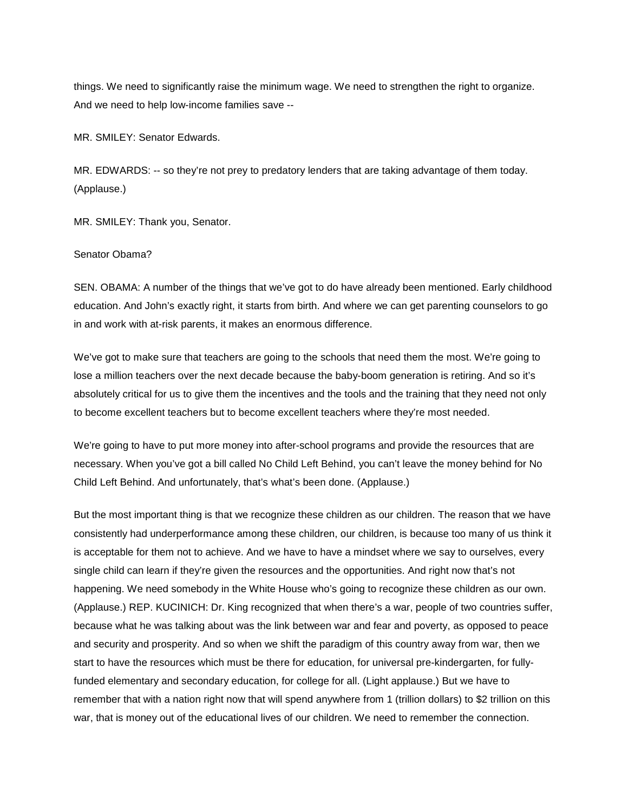things. We need to significantly raise the minimum wage. We need to strengthen the right to organize. And we need to help low-income families save --

MR. SMILEY: Senator Edwards.

MR. EDWARDS: -- so they're not prey to predatory lenders that are taking advantage of them today. (Applause.)

MR. SMILEY: Thank you, Senator.

#### Senator Obama?

SEN. OBAMA: A number of the things that we've got to do have already been mentioned. Early childhood education. And John's exactly right, it starts from birth. And where we can get parenting counselors to go in and work with at-risk parents, it makes an enormous difference.

We've got to make sure that teachers are going to the schools that need them the most. We're going to lose a million teachers over the next decade because the baby-boom generation is retiring. And so it's absolutely critical for us to give them the incentives and the tools and the training that they need not only to become excellent teachers but to become excellent teachers where they're most needed.

We're going to have to put more money into after-school programs and provide the resources that are necessary. When you've got a bill called No Child Left Behind, you can't leave the money behind for No Child Left Behind. And unfortunately, that's what's been done. (Applause.)

But the most important thing is that we recognize these children as our children. The reason that we have consistently had underperformance among these children, our children, is because too many of us think it is acceptable for them not to achieve. And we have to have a mindset where we say to ourselves, every single child can learn if they're given the resources and the opportunities. And right now that's not happening. We need somebody in the White House who's going to recognize these children as our own. (Applause.) REP. KUCINICH: Dr. King recognized that when there's a war, people of two countries suffer, because what he was talking about was the link between war and fear and poverty, as opposed to peace and security and prosperity. And so when we shift the paradigm of this country away from war, then we start to have the resources which must be there for education, for universal pre-kindergarten, for fullyfunded elementary and secondary education, for college for all. (Light applause.) But we have to remember that with a nation right now that will spend anywhere from 1 (trillion dollars) to \$2 trillion on this war, that is money out of the educational lives of our children. We need to remember the connection.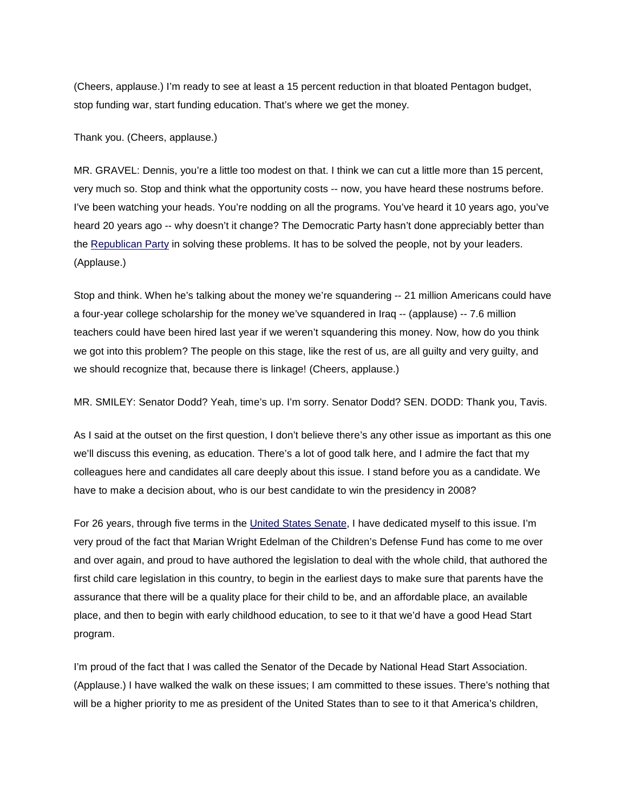(Cheers, applause.) I'm ready to see at least a 15 percent reduction in that bloated Pentagon budget, stop funding war, start funding education. That's where we get the money.

Thank you. (Cheers, applause.)

MR. GRAVEL: Dennis, you're a little too modest on that. I think we can cut a little more than 15 percent, very much so. Stop and think what the opportunity costs -- now, you have heard these nostrums before. I've been watching your heads. You're nodding on all the programs. You've heard it 10 years ago, you've heard 20 years ago -- why doesn't it change? The Democratic Party hasn't done appreciably better than the Republican Party in solving these problems. It has to be solved the people, not by your leaders. (Applause.)

Stop and think. When he's talking about the money we're squandering -- 21 million Americans could have a four-year college scholarship for the money we've squandered in Iraq -- (applause) -- 7.6 million teachers could have been hired last year if we weren't squandering this money. Now, how do you think we got into this problem? The people on this stage, like the rest of us, are all guilty and very guilty, and we should recognize that, because there is linkage! (Cheers, applause.)

MR. SMILEY: Senator Dodd? Yeah, time's up. I'm sorry. Senator Dodd? SEN. DODD: Thank you, Tavis.

As I said at the outset on the first question, I don't believe there's any other issue as important as this one we'll discuss this evening, as education. There's a lot of good talk here, and I admire the fact that my colleagues here and candidates all care deeply about this issue. I stand before you as a candidate. We have to make a decision about, who is our best candidate to win the presidency in 2008?

For 26 years, through five terms in the United States Senate, I have dedicated myself to this issue. I'm very proud of the fact that Marian Wright Edelman of the Children's Defense Fund has come to me over and over again, and proud to have authored the legislation to deal with the whole child, that authored the first child care legislation in this country, to begin in the earliest days to make sure that parents have the assurance that there will be a quality place for their child to be, and an affordable place, an available place, and then to begin with early childhood education, to see to it that we'd have a good Head Start program.

I'm proud of the fact that I was called the Senator of the Decade by National Head Start Association. (Applause.) I have walked the walk on these issues; I am committed to these issues. There's nothing that will be a higher priority to me as president of the United States than to see to it that America's children,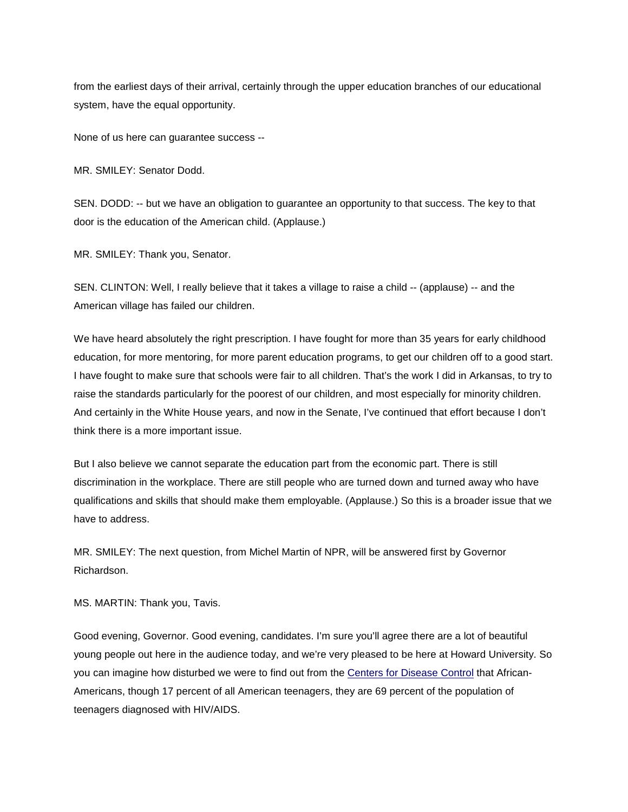from the earliest days of their arrival, certainly through the upper education branches of our educational system, have the equal opportunity.

None of us here can guarantee success --

MR. SMILEY: Senator Dodd.

SEN. DODD: -- but we have an obligation to guarantee an opportunity to that success. The key to that door is the education of the American child. (Applause.)

MR. SMILEY: Thank you, Senator.

SEN. CLINTON: Well, I really believe that it takes a village to raise a child -- (applause) -- and the American village has failed our children.

We have heard absolutely the right prescription. I have fought for more than 35 years for early childhood education, for more mentoring, for more parent education programs, to get our children off to a good start. I have fought to make sure that schools were fair to all children. That's the work I did in Arkansas, to try to raise the standards particularly for the poorest of our children, and most especially for minority children. And certainly in the White House years, and now in the Senate, I've continued that effort because I don't think there is a more important issue.

But I also believe we cannot separate the education part from the economic part. There is still discrimination in the workplace. There are still people who are turned down and turned away who have qualifications and skills that should make them employable. (Applause.) So this is a broader issue that we have to address.

MR. SMILEY: The next question, from Michel Martin of NPR, will be answered first by Governor Richardson.

MS. MARTIN: Thank you, Tavis.

Good evening, Governor. Good evening, candidates. I'm sure you'll agree there are a lot of beautiful young people out here in the audience today, and we're very pleased to be here at Howard University. So you can imagine how disturbed we were to find out from the Centers for Disease Control that African-Americans, though 17 percent of all American teenagers, they are 69 percent of the population of teenagers diagnosed with HIV/AIDS.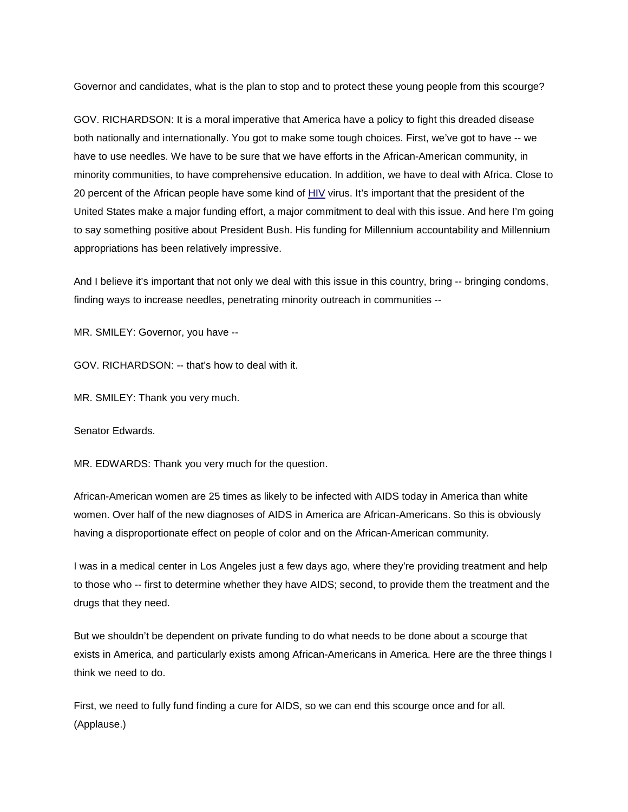Governor and candidates, what is the plan to stop and to protect these young people from this scourge?

GOV. RICHARDSON: It is a moral imperative that America have a policy to fight this dreaded disease both nationally and internationally. You got to make some tough choices. First, we've got to have -- we have to use needles. We have to be sure that we have efforts in the African-American community, in minority communities, to have comprehensive education. In addition, we have to deal with Africa. Close to 20 percent of the African people have some kind of HIV virus. It's important that the president of the United States make a major funding effort, a major commitment to deal with this issue. And here I'm going to say something positive about President Bush. His funding for Millennium accountability and Millennium appropriations has been relatively impressive.

And I believe it's important that not only we deal with this issue in this country, bring -- bringing condoms, finding ways to increase needles, penetrating minority outreach in communities --

MR. SMILEY: Governor, you have --

GOV. RICHARDSON: -- that's how to deal with it.

MR. SMILEY: Thank you very much.

Senator Edwards.

MR. EDWARDS: Thank you very much for the question.

African-American women are 25 times as likely to be infected with AIDS today in America than white women. Over half of the new diagnoses of AIDS in America are African-Americans. So this is obviously having a disproportionate effect on people of color and on the African-American community.

I was in a medical center in Los Angeles just a few days ago, where they're providing treatment and help to those who -- first to determine whether they have AIDS; second, to provide them the treatment and the drugs that they need.

But we shouldn't be dependent on private funding to do what needs to be done about a scourge that exists in America, and particularly exists among African-Americans in America. Here are the three things I think we need to do.

First, we need to fully fund finding a cure for AIDS, so we can end this scourge once and for all. (Applause.)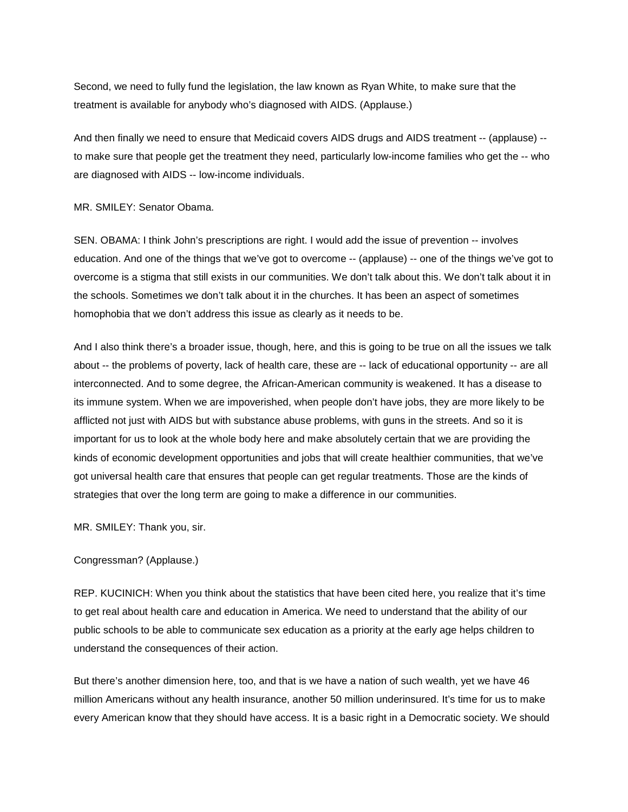Second, we need to fully fund the legislation, the law known as Ryan White, to make sure that the treatment is available for anybody who's diagnosed with AIDS. (Applause.)

And then finally we need to ensure that Medicaid covers AIDS drugs and AIDS treatment -- (applause) - to make sure that people get the treatment they need, particularly low-income families who get the -- who are diagnosed with AIDS -- low-income individuals.

MR. SMILEY: Senator Obama.

SEN. OBAMA: I think John's prescriptions are right. I would add the issue of prevention -- involves education. And one of the things that we've got to overcome -- (applause) -- one of the things we've got to overcome is a stigma that still exists in our communities. We don't talk about this. We don't talk about it in the schools. Sometimes we don't talk about it in the churches. It has been an aspect of sometimes homophobia that we don't address this issue as clearly as it needs to be.

And I also think there's a broader issue, though, here, and this is going to be true on all the issues we talk about -- the problems of poverty, lack of health care, these are -- lack of educational opportunity -- are all interconnected. And to some degree, the African-American community is weakened. It has a disease to its immune system. When we are impoverished, when people don't have jobs, they are more likely to be afflicted not just with AIDS but with substance abuse problems, with guns in the streets. And so it is important for us to look at the whole body here and make absolutely certain that we are providing the kinds of economic development opportunities and jobs that will create healthier communities, that we've got universal health care that ensures that people can get regular treatments. Those are the kinds of strategies that over the long term are going to make a difference in our communities.

MR. SMILEY: Thank you, sir.

Congressman? (Applause.)

REP. KUCINICH: When you think about the statistics that have been cited here, you realize that it's time to get real about health care and education in America. We need to understand that the ability of our public schools to be able to communicate sex education as a priority at the early age helps children to understand the consequences of their action.

But there's another dimension here, too, and that is we have a nation of such wealth, yet we have 46 million Americans without any health insurance, another 50 million underinsured. It's time for us to make every American know that they should have access. It is a basic right in a Democratic society. We should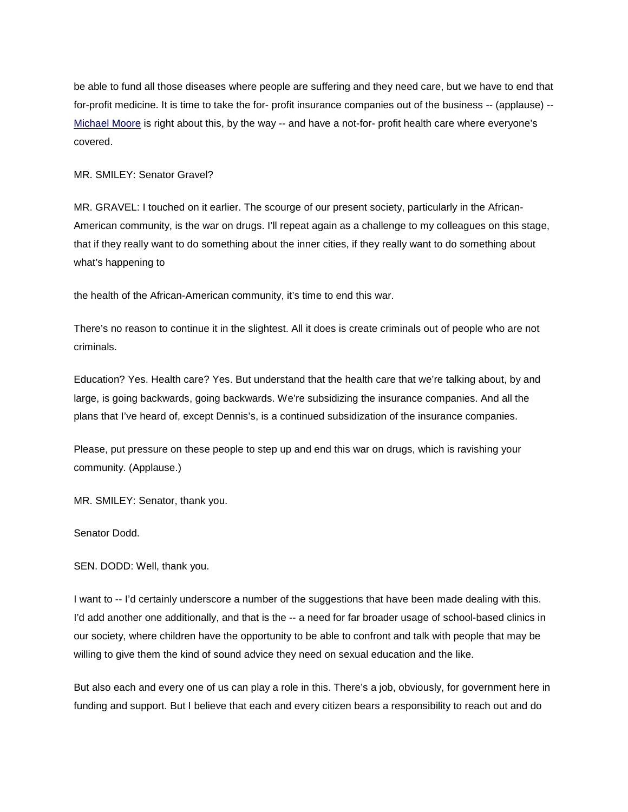be able to fund all those diseases where people are suffering and they need care, but we have to end that for-profit medicine. It is time to take the for- profit insurance companies out of the business -- (applause) -- Michael Moore is right about this, by the way -- and have a not-for- profit health care where everyone's covered.

MR. SMILEY: Senator Gravel?

MR. GRAVEL: I touched on it earlier. The scourge of our present society, particularly in the African-American community, is the war on drugs. I'll repeat again as a challenge to my colleagues on this stage, that if they really want to do something about the inner cities, if they really want to do something about what's happening to

the health of the African-American community, it's time to end this war.

There's no reason to continue it in the slightest. All it does is create criminals out of people who are not criminals.

Education? Yes. Health care? Yes. But understand that the health care that we're talking about, by and large, is going backwards, going backwards. We're subsidizing the insurance companies. And all the plans that I've heard of, except Dennis's, is a continued subsidization of the insurance companies.

Please, put pressure on these people to step up and end this war on drugs, which is ravishing your community. (Applause.)

MR. SMILEY: Senator, thank you.

Senator Dodd.

SEN. DODD: Well, thank you.

I want to -- I'd certainly underscore a number of the suggestions that have been made dealing with this. I'd add another one additionally, and that is the -- a need for far broader usage of school-based clinics in our society, where children have the opportunity to be able to confront and talk with people that may be willing to give them the kind of sound advice they need on sexual education and the like.

But also each and every one of us can play a role in this. There's a job, obviously, for government here in funding and support. But I believe that each and every citizen bears a responsibility to reach out and do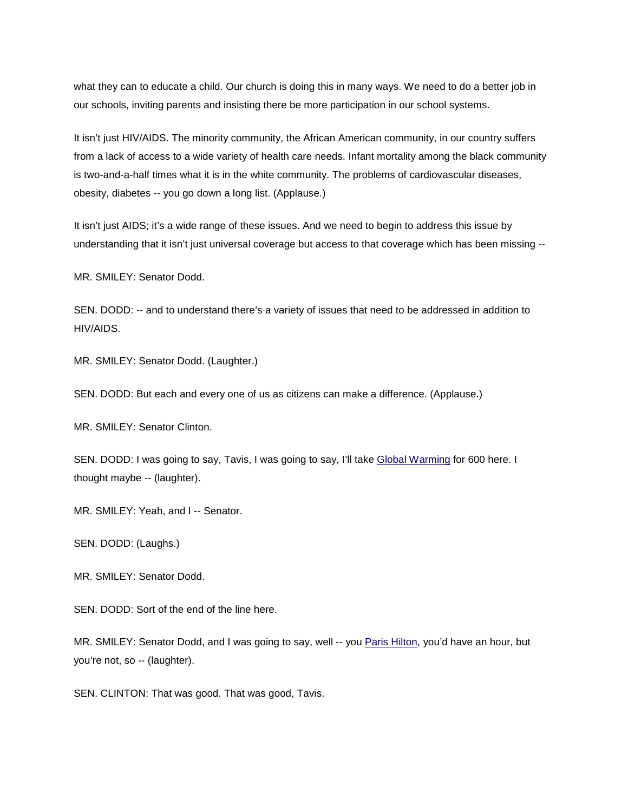what they can to educate a child. Our church is doing this in many ways. We need to do a better job in our schools, inviting parents and insisting there be more participation in our school systems.

It isn't just HIV/AIDS. The minority community, the African American community, in our country suffers from a lack of access to a wide variety of health care needs. Infant mortality among the black community is two-and-a-half times what it is in the white community. The problems of cardiovascular diseases, obesity, diabetes -- you go down a long list. (Applause.)

It isn't just AIDS; it's a wide range of these issues. And we need to begin to address this issue by understanding that it isn't just universal coverage but access to that coverage which has been missing --

MR. SMILEY: Senator Dodd.

SEN. DODD: -- and to understand there's a variety of issues that need to be addressed in addition to HIV/AIDS.

MR. SMILEY: Senator Dodd. (Laughter.)

SEN. DODD: But each and every one of us as citizens can make a difference. (Applause.)

MR. SMILEY: Senator Clinton.

SEN. DODD: I was going to say, Tavis, I was going to say, I'll take Global Warming for 600 here. I thought maybe -- (laughter).

MR. SMILEY: Yeah, and I -- Senator.

SEN. DODD: (Laughs.)

MR. SMILEY: Senator Dodd.

SEN. DODD: Sort of the end of the line here.

MR. SMILEY: Senator Dodd, and I was going to say, well -- you Paris Hilton, you'd have an hour, but you're not, so -- (laughter).

SEN. CLINTON: That was good. That was good, Tavis.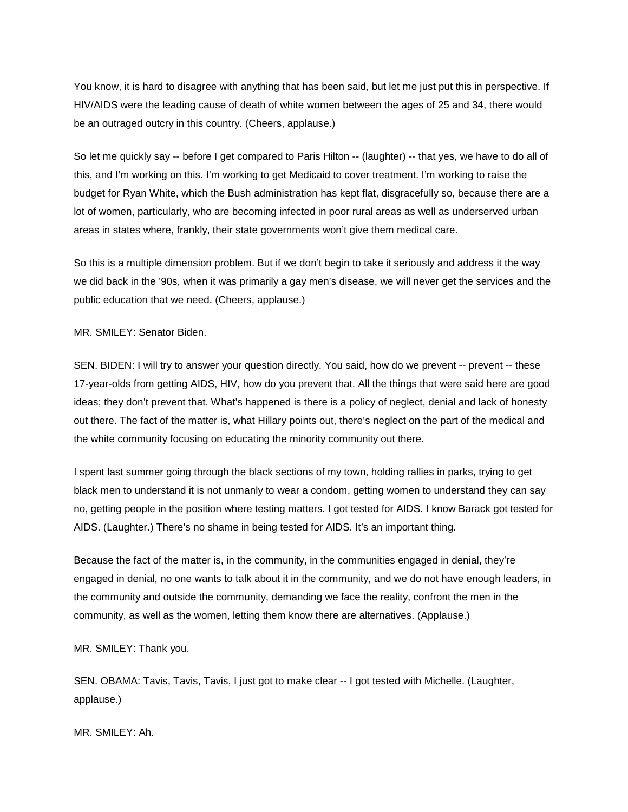You know, it is hard to disagree with anything that has been said, but let me just put this in perspective. If HIV/AIDS were the leading cause of death of white women between the ages of 25 and 34, there would be an outraged outcry in this country. (Cheers, applause.)

So let me quickly say -- before I get compared to Paris Hilton -- (laughter) -- that yes, we have to do all of this, and I'm working on this. I'm working to get Medicaid to cover treatment. I'm working to raise the budget for Ryan White, which the Bush administration has kept flat, disgracefully so, because there are a lot of women, particularly, who are becoming infected in poor rural areas as well as underserved urban areas in states where, frankly, their state governments won't give them medical care.

So this is a multiple dimension problem. But if we don't begin to take it seriously and address it the way we did back in the '90s, when it was primarily a gay men's disease, we will never get the services and the public education that we need. (Cheers, applause.)

MR. SMILEY: Senator Biden.

SEN. BIDEN: I will try to answer your question directly. You said, how do we prevent -- prevent -- these 17-year-olds from getting AIDS, HIV, how do you prevent that. All the things that were said here are good ideas; they don't prevent that. What's happened is there is a policy of neglect, denial and lack of honesty out there. The fact of the matter is, what Hillary points out, there's neglect on the part of the medical and the white community focusing on educating the minority community out there.

I spent last summer going through the black sections of my town, holding rallies in parks, trying to get black men to understand it is not unmanly to wear a condom, getting women to understand they can say no, getting people in the position where testing matters. I got tested for AIDS. I know Barack got tested for AIDS. (Laughter.) There's no shame in being tested for AIDS. It's an important thing.

Because the fact of the matter is, in the community, in the communities engaged in denial, they're engaged in denial, no one wants to talk about it in the community, and we do not have enough leaders, in the community and outside the community, demanding we face the reality, confront the men in the community, as well as the women, letting them know there are alternatives. (Applause.)

MR. SMILEY: Thank you.

SEN. OBAMA: Tavis, Tavis, Tavis, I just got to make clear -- I got tested with Michelle. (Laughter, applause.)

MR. SMILEY: Ah.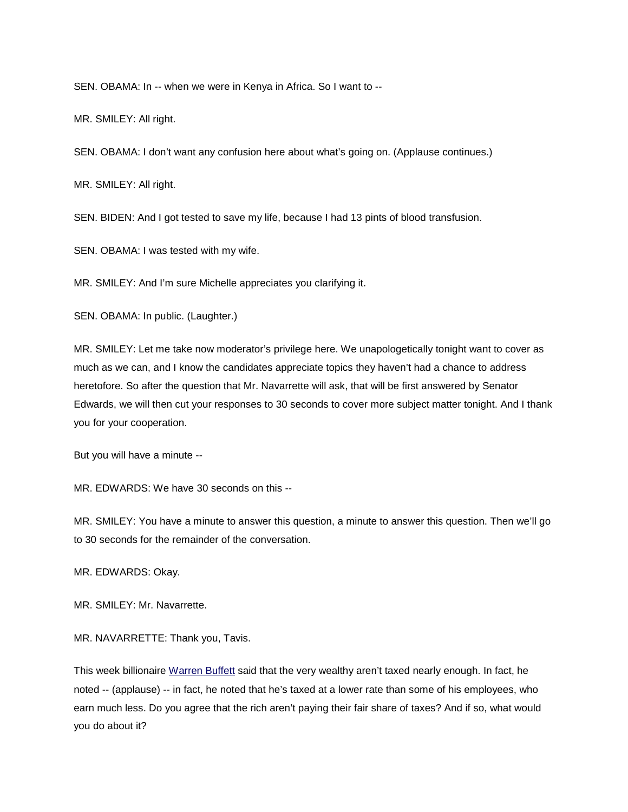SEN. OBAMA: In -- when we were in Kenya in Africa. So I want to --

MR. SMILEY: All right.

SEN. OBAMA: I don't want any confusion here about what's going on. (Applause continues.)

MR. SMILEY: All right.

SEN. BIDEN: And I got tested to save my life, because I had 13 pints of blood transfusion.

SEN. OBAMA: I was tested with my wife.

MR. SMILEY: And I'm sure Michelle appreciates you clarifying it.

SEN. OBAMA: In public. (Laughter.)

MR. SMILEY: Let me take now moderator's privilege here. We unapologetically tonight want to cover as much as we can, and I know the candidates appreciate topics they haven't had a chance to address heretofore. So after the question that Mr. Navarrette will ask, that will be first answered by Senator Edwards, we will then cut your responses to 30 seconds to cover more subject matter tonight. And I thank you for your cooperation.

But you will have a minute --

MR. EDWARDS: We have 30 seconds on this --

MR. SMILEY: You have a minute to answer this question, a minute to answer this question. Then we'll go to 30 seconds for the remainder of the conversation.

MR. EDWARDS: Okay.

MR. SMILEY: Mr. Navarrette.

MR. NAVARRETTE: Thank you, Tavis.

This week billionaire Warren Buffett said that the very wealthy aren't taxed nearly enough. In fact, he noted -- (applause) -- in fact, he noted that he's taxed at a lower rate than some of his employees, who earn much less. Do you agree that the rich aren't paying their fair share of taxes? And if so, what would you do about it?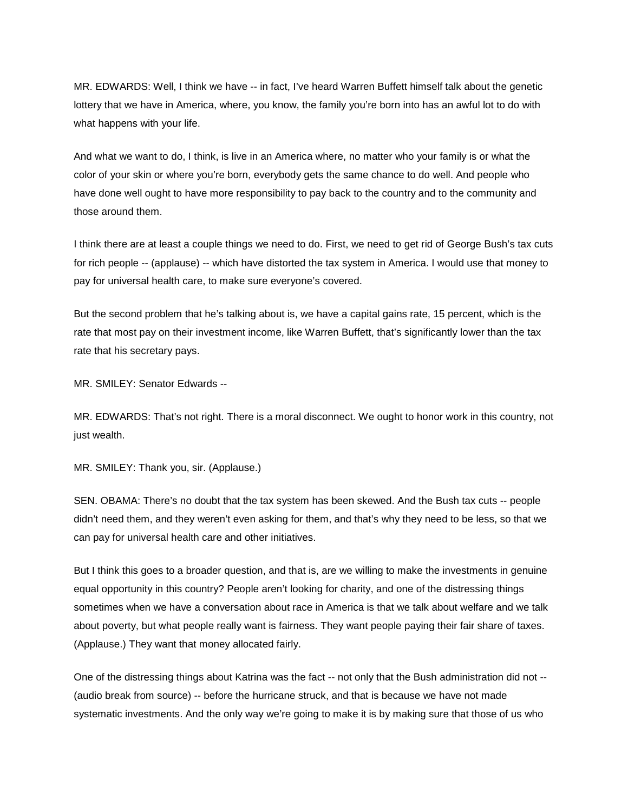MR. EDWARDS: Well, I think we have -- in fact, I've heard Warren Buffett himself talk about the genetic lottery that we have in America, where, you know, the family you're born into has an awful lot to do with what happens with your life.

And what we want to do, I think, is live in an America where, no matter who your family is or what the color of your skin or where you're born, everybody gets the same chance to do well. And people who have done well ought to have more responsibility to pay back to the country and to the community and those around them.

I think there are at least a couple things we need to do. First, we need to get rid of George Bush's tax cuts for rich people -- (applause) -- which have distorted the tax system in America. I would use that money to pay for universal health care, to make sure everyone's covered.

But the second problem that he's talking about is, we have a capital gains rate, 15 percent, which is the rate that most pay on their investment income, like Warren Buffett, that's significantly lower than the tax rate that his secretary pays.

MR. SMILEY: Senator Edwards --

MR. EDWARDS: That's not right. There is a moral disconnect. We ought to honor work in this country, not just wealth.

MR. SMILEY: Thank you, sir. (Applause.)

SEN. OBAMA: There's no doubt that the tax system has been skewed. And the Bush tax cuts -- people didn't need them, and they weren't even asking for them, and that's why they need to be less, so that we can pay for universal health care and other initiatives.

But I think this goes to a broader question, and that is, are we willing to make the investments in genuine equal opportunity in this country? People aren't looking for charity, and one of the distressing things sometimes when we have a conversation about race in America is that we talk about welfare and we talk about poverty, but what people really want is fairness. They want people paying their fair share of taxes. (Applause.) They want that money allocated fairly.

One of the distressing things about Katrina was the fact -- not only that the Bush administration did not -- (audio break from source) -- before the hurricane struck, and that is because we have not made systematic investments. And the only way we're going to make it is by making sure that those of us who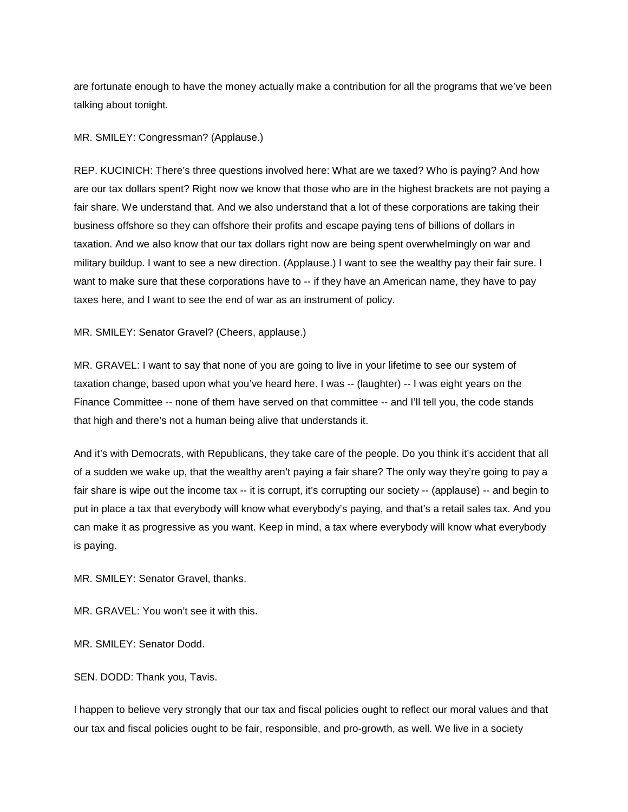are fortunate enough to have the money actually make a contribution for all the programs that we've been talking about tonight.

#### MR. SMILEY: Congressman? (Applause.)

REP. KUCINICH: There's three questions involved here: What are we taxed? Who is paying? And how are our tax dollars spent? Right now we know that those who are in the highest brackets are not paying a fair share. We understand that. And we also understand that a lot of these corporations are taking their business offshore so they can offshore their profits and escape paying tens of billions of dollars in taxation. And we also know that our tax dollars right now are being spent overwhelmingly on war and military buildup. I want to see a new direction. (Applause.) I want to see the wealthy pay their fair sure. I want to make sure that these corporations have to -- if they have an American name, they have to pay taxes here, and I want to see the end of war as an instrument of policy.

#### MR. SMILEY: Senator Gravel? (Cheers, applause.)

MR. GRAVEL: I want to say that none of you are going to live in your lifetime to see our system of taxation change, based upon what you've heard here. I was -- (laughter) -- I was eight years on the Finance Committee -- none of them have served on that committee -- and I'll tell you, the code stands that high and there's not a human being alive that understands it.

And it's with Democrats, with Republicans, they take care of the people. Do you think it's accident that all of a sudden we wake up, that the wealthy aren't paying a fair share? The only way they're going to pay a fair share is wipe out the income tax -- it is corrupt, it's corrupting our society -- (applause) -- and begin to put in place a tax that everybody will know what everybody's paying, and that's a retail sales tax. And you can make it as progressive as you want. Keep in mind, a tax where everybody will know what everybody is paying.

MR. SMILEY: Senator Gravel, thanks.

MR. GRAVEL: You won't see it with this.

MR. SMILEY: Senator Dodd.

SEN. DODD: Thank you, Tavis.

I happen to believe very strongly that our tax and fiscal policies ought to reflect our moral values and that our tax and fiscal policies ought to be fair, responsible, and pro-growth, as well. We live in a society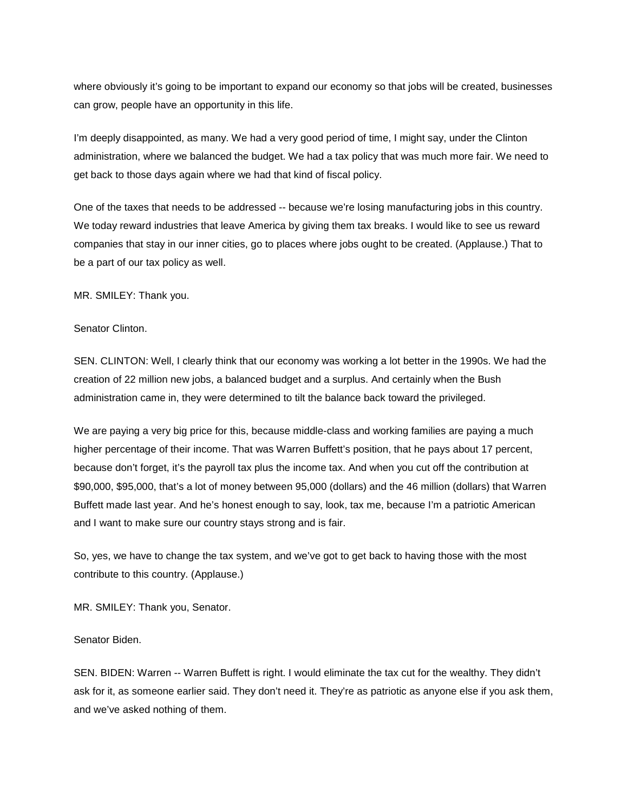where obviously it's going to be important to expand our economy so that jobs will be created, businesses can grow, people have an opportunity in this life.

I'm deeply disappointed, as many. We had a very good period of time, I might say, under the Clinton administration, where we balanced the budget. We had a tax policy that was much more fair. We need to get back to those days again where we had that kind of fiscal policy.

One of the taxes that needs to be addressed -- because we're losing manufacturing jobs in this country. We today reward industries that leave America by giving them tax breaks. I would like to see us reward companies that stay in our inner cities, go to places where jobs ought to be created. (Applause.) That to be a part of our tax policy as well.

MR. SMILEY: Thank you.

Senator Clinton.

SEN. CLINTON: Well, I clearly think that our economy was working a lot better in the 1990s. We had the creation of 22 million new jobs, a balanced budget and a surplus. And certainly when the Bush administration came in, they were determined to tilt the balance back toward the privileged.

We are paying a very big price for this, because middle-class and working families are paying a much higher percentage of their income. That was Warren Buffett's position, that he pays about 17 percent, because don't forget, it's the payroll tax plus the income tax. And when you cut off the contribution at \$90,000, \$95,000, that's a lot of money between 95,000 (dollars) and the 46 million (dollars) that Warren Buffett made last year. And he's honest enough to say, look, tax me, because I'm a patriotic American and I want to make sure our country stays strong and is fair.

So, yes, we have to change the tax system, and we've got to get back to having those with the most contribute to this country. (Applause.)

MR. SMILEY: Thank you, Senator.

Senator Biden.

SEN. BIDEN: Warren -- Warren Buffett is right. I would eliminate the tax cut for the wealthy. They didn't ask for it, as someone earlier said. They don't need it. They're as patriotic as anyone else if you ask them, and we've asked nothing of them.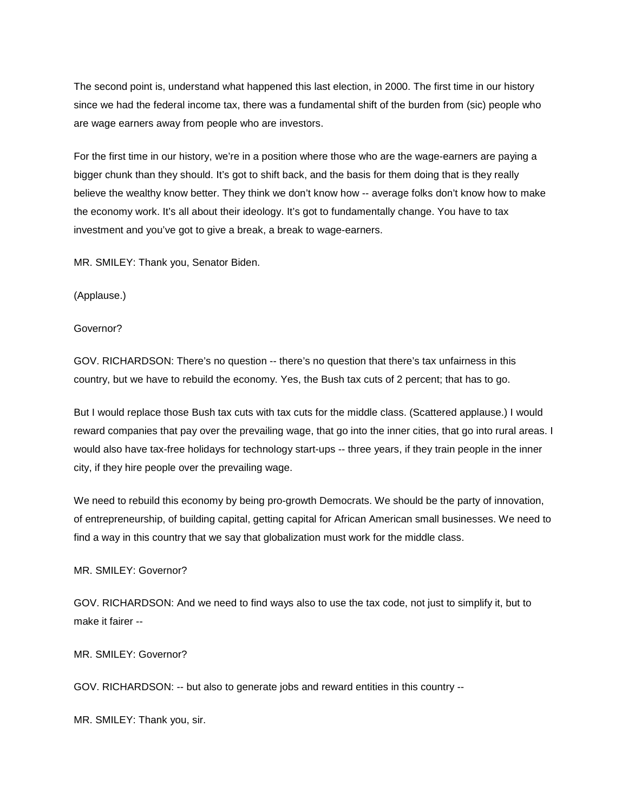The second point is, understand what happened this last election, in 2000. The first time in our history since we had the federal income tax, there was a fundamental shift of the burden from (sic) people who are wage earners away from people who are investors.

For the first time in our history, we're in a position where those who are the wage-earners are paying a bigger chunk than they should. It's got to shift back, and the basis for them doing that is they really believe the wealthy know better. They think we don't know how -- average folks don't know how to make the economy work. It's all about their ideology. It's got to fundamentally change. You have to tax investment and you've got to give a break, a break to wage-earners.

MR. SMILEY: Thank you, Senator Biden.

(Applause.)

Governor?

GOV. RICHARDSON: There's no question -- there's no question that there's tax unfairness in this country, but we have to rebuild the economy. Yes, the Bush tax cuts of 2 percent; that has to go.

But I would replace those Bush tax cuts with tax cuts for the middle class. (Scattered applause.) I would reward companies that pay over the prevailing wage, that go into the inner cities, that go into rural areas. I would also have tax-free holidays for technology start-ups -- three years, if they train people in the inner city, if they hire people over the prevailing wage.

We need to rebuild this economy by being pro-growth Democrats. We should be the party of innovation, of entrepreneurship, of building capital, getting capital for African American small businesses. We need to find a way in this country that we say that globalization must work for the middle class.

# MR. SMILEY: Governor?

GOV. RICHARDSON: And we need to find ways also to use the tax code, not just to simplify it, but to make it fairer --

MR. SMILEY: Governor?

GOV. RICHARDSON: -- but also to generate jobs and reward entities in this country --

MR. SMILEY: Thank you, sir.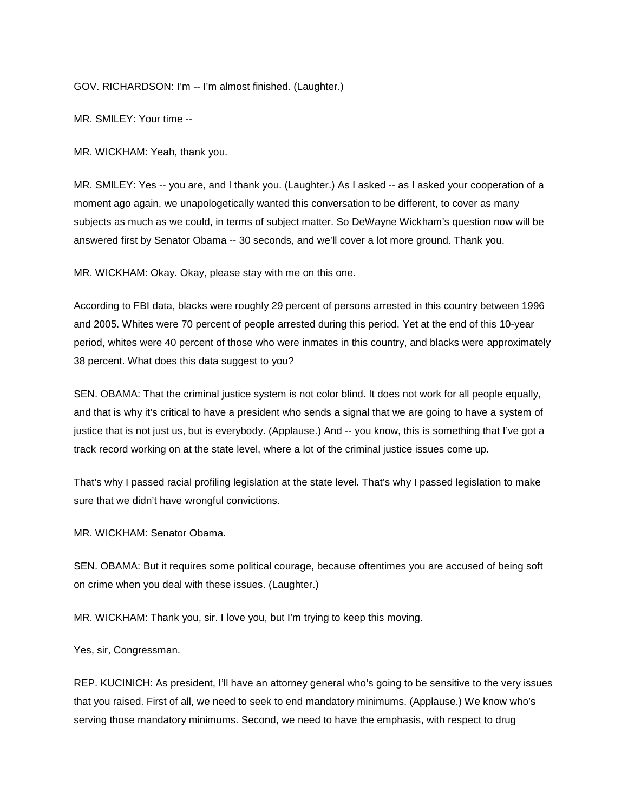#### GOV. RICHARDSON: I'm -- I'm almost finished. (Laughter.)

MR. SMILEY: Your time --

MR. WICKHAM: Yeah, thank you.

MR. SMILEY: Yes -- you are, and I thank you. (Laughter.) As I asked -- as I asked your cooperation of a moment ago again, we unapologetically wanted this conversation to be different, to cover as many subjects as much as we could, in terms of subject matter. So DeWayne Wickham's question now will be answered first by Senator Obama -- 30 seconds, and we'll cover a lot more ground. Thank you.

MR. WICKHAM: Okay. Okay, please stay with me on this one.

According to FBI data, blacks were roughly 29 percent of persons arrested in this country between 1996 and 2005. Whites were 70 percent of people arrested during this period. Yet at the end of this 10-year period, whites were 40 percent of those who were inmates in this country, and blacks were approximately 38 percent. What does this data suggest to you?

SEN. OBAMA: That the criminal justice system is not color blind. It does not work for all people equally, and that is why it's critical to have a president who sends a signal that we are going to have a system of justice that is not just us, but is everybody. (Applause.) And -- you know, this is something that I've got a track record working on at the state level, where a lot of the criminal justice issues come up.

That's why I passed racial profiling legislation at the state level. That's why I passed legislation to make sure that we didn't have wrongful convictions.

MR. WICKHAM: Senator Obama.

SEN. OBAMA: But it requires some political courage, because oftentimes you are accused of being soft on crime when you deal with these issues. (Laughter.)

MR. WICKHAM: Thank you, sir. I love you, but I'm trying to keep this moving.

Yes, sir, Congressman.

REP. KUCINICH: As president, I'll have an attorney general who's going to be sensitive to the very issues that you raised. First of all, we need to seek to end mandatory minimums. (Applause.) We know who's serving those mandatory minimums. Second, we need to have the emphasis, with respect to drug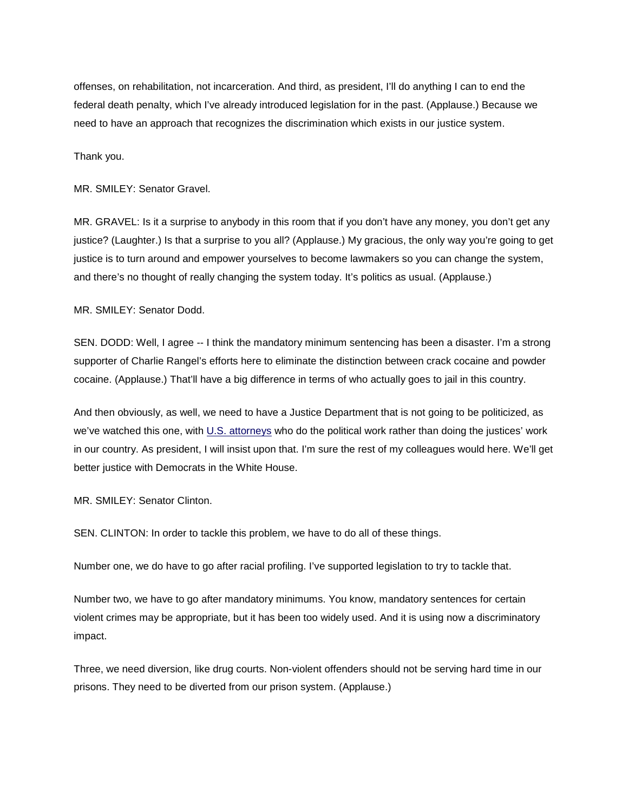offenses, on rehabilitation, not incarceration. And third, as president, I'll do anything I can to end the federal death penalty, which I've already introduced legislation for in the past. (Applause.) Because we need to have an approach that recognizes the discrimination which exists in our justice system.

Thank you.

MR. SMILEY: Senator Gravel.

MR. GRAVEL: Is it a surprise to anybody in this room that if you don't have any money, you don't get any justice? (Laughter.) Is that a surprise to you all? (Applause.) My gracious, the only way you're going to get justice is to turn around and empower yourselves to become lawmakers so you can change the system, and there's no thought of really changing the system today. It's politics as usual. (Applause.)

MR. SMILEY: Senator Dodd.

SEN. DODD: Well, I agree -- I think the mandatory minimum sentencing has been a disaster. I'm a strong supporter of Charlie Rangel's efforts here to eliminate the distinction between crack cocaine and powder cocaine. (Applause.) That'll have a big difference in terms of who actually goes to jail in this country.

And then obviously, as well, we need to have a Justice Department that is not going to be politicized, as we've watched this one, with U.S. attorneys who do the political work rather than doing the justices' work in our country. As president, I will insist upon that. I'm sure the rest of my colleagues would here. We'll get better justice with Democrats in the White House.

MR. SMILEY: Senator Clinton.

SEN. CLINTON: In order to tackle this problem, we have to do all of these things.

Number one, we do have to go after racial profiling. I've supported legislation to try to tackle that.

Number two, we have to go after mandatory minimums. You know, mandatory sentences for certain violent crimes may be appropriate, but it has been too widely used. And it is using now a discriminatory impact.

Three, we need diversion, like drug courts. Non-violent offenders should not be serving hard time in our prisons. They need to be diverted from our prison system. (Applause.)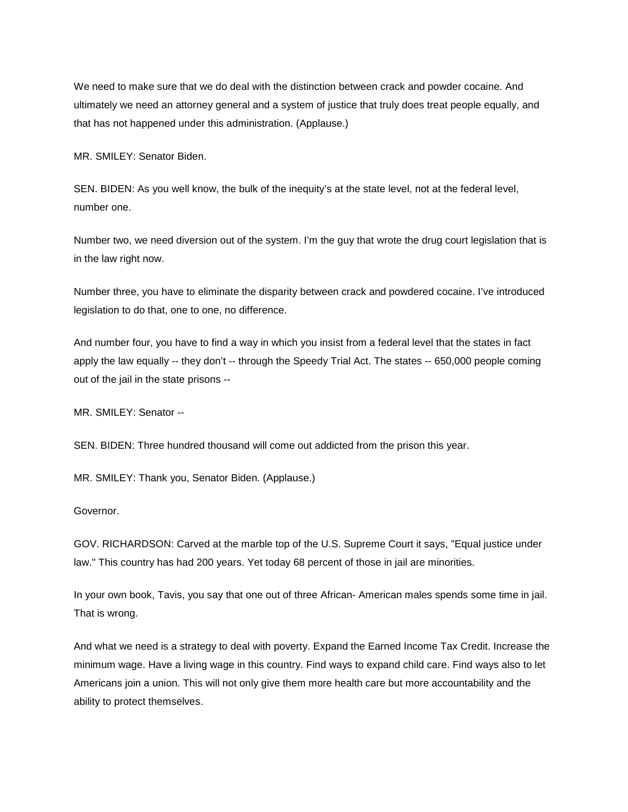We need to make sure that we do deal with the distinction between crack and powder cocaine. And ultimately we need an attorney general and a system of justice that truly does treat people equally, and that has not happened under this administration. (Applause.)

MR. SMILEY: Senator Biden.

SEN. BIDEN: As you well know, the bulk of the inequity's at the state level, not at the federal level, number one.

Number two, we need diversion out of the system. I'm the guy that wrote the drug court legislation that is in the law right now.

Number three, you have to eliminate the disparity between crack and powdered cocaine. I've introduced legislation to do that, one to one, no difference.

And number four, you have to find a way in which you insist from a federal level that the states in fact apply the law equally -- they don't -- through the Speedy Trial Act. The states -- 650,000 people coming out of the jail in the state prisons --

MR. SMILEY: Senator --

SEN. BIDEN: Three hundred thousand will come out addicted from the prison this year.

MR. SMILEY: Thank you, Senator Biden. (Applause.)

Governor.

GOV. RICHARDSON: Carved at the marble top of the U.S. Supreme Court it says, "Equal justice under law." This country has had 200 years. Yet today 68 percent of those in jail are minorities.

In your own book, Tavis, you say that one out of three African- American males spends some time in jail. That is wrong.

And what we need is a strategy to deal with poverty. Expand the Earned Income Tax Credit. Increase the minimum wage. Have a living wage in this country. Find ways to expand child care. Find ways also to let Americans join a union. This will not only give them more health care but more accountability and the ability to protect themselves.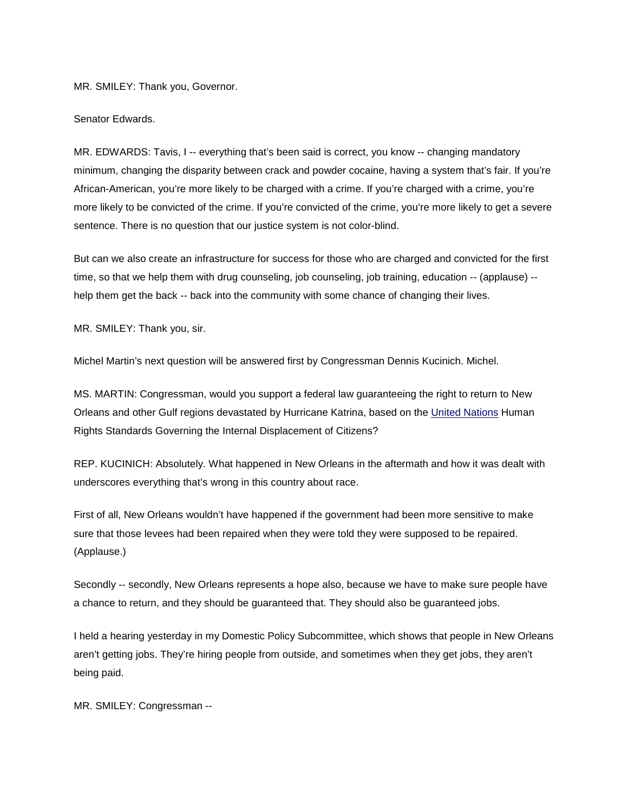MR. SMILEY: Thank you, Governor.

Senator Edwards.

MR. EDWARDS: Tavis, I -- everything that's been said is correct, you know -- changing mandatory minimum, changing the disparity between crack and powder cocaine, having a system that's fair. If you're African-American, you're more likely to be charged with a crime. If you're charged with a crime, you're more likely to be convicted of the crime. If you're convicted of the crime, you're more likely to get a severe sentence. There is no question that our justice system is not color-blind.

But can we also create an infrastructure for success for those who are charged and convicted for the first time, so that we help them with drug counseling, job counseling, job training, education -- (applause) -help them get the back -- back into the community with some chance of changing their lives.

MR. SMILEY: Thank you, sir.

Michel Martin's next question will be answered first by Congressman Dennis Kucinich. Michel.

MS. MARTIN: Congressman, would you support a federal law guaranteeing the right to return to New Orleans and other Gulf regions devastated by Hurricane Katrina, based on the United Nations Human Rights Standards Governing the Internal Displacement of Citizens?

REP. KUCINICH: Absolutely. What happened in New Orleans in the aftermath and how it was dealt with underscores everything that's wrong in this country about race.

First of all, New Orleans wouldn't have happened if the government had been more sensitive to make sure that those levees had been repaired when they were told they were supposed to be repaired. (Applause.)

Secondly -- secondly, New Orleans represents a hope also, because we have to make sure people have a chance to return, and they should be guaranteed that. They should also be guaranteed jobs.

I held a hearing yesterday in my Domestic Policy Subcommittee, which shows that people in New Orleans aren't getting jobs. They're hiring people from outside, and sometimes when they get jobs, they aren't being paid.

MR. SMILEY: Congressman --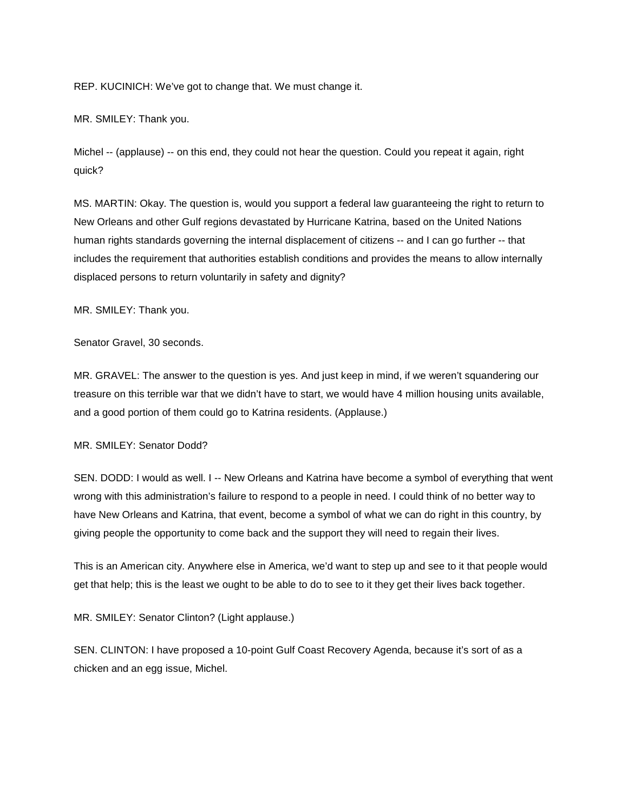REP. KUCINICH: We've got to change that. We must change it.

MR. SMILEY: Thank you.

Michel -- (applause) -- on this end, they could not hear the question. Could you repeat it again, right quick?

MS. MARTIN: Okay. The question is, would you support a federal law guaranteeing the right to return to New Orleans and other Gulf regions devastated by Hurricane Katrina, based on the United Nations human rights standards governing the internal displacement of citizens -- and I can go further -- that includes the requirement that authorities establish conditions and provides the means to allow internally displaced persons to return voluntarily in safety and dignity?

MR. SMILEY: Thank you.

Senator Gravel, 30 seconds.

MR. GRAVEL: The answer to the question is yes. And just keep in mind, if we weren't squandering our treasure on this terrible war that we didn't have to start, we would have 4 million housing units available, and a good portion of them could go to Katrina residents. (Applause.)

MR. SMILEY: Senator Dodd?

SEN. DODD: I would as well. I -- New Orleans and Katrina have become a symbol of everything that went wrong with this administration's failure to respond to a people in need. I could think of no better way to have New Orleans and Katrina, that event, become a symbol of what we can do right in this country, by giving people the opportunity to come back and the support they will need to regain their lives.

This is an American city. Anywhere else in America, we'd want to step up and see to it that people would get that help; this is the least we ought to be able to do to see to it they get their lives back together.

MR. SMILEY: Senator Clinton? (Light applause.)

SEN. CLINTON: I have proposed a 10-point Gulf Coast Recovery Agenda, because it's sort of as a chicken and an egg issue, Michel.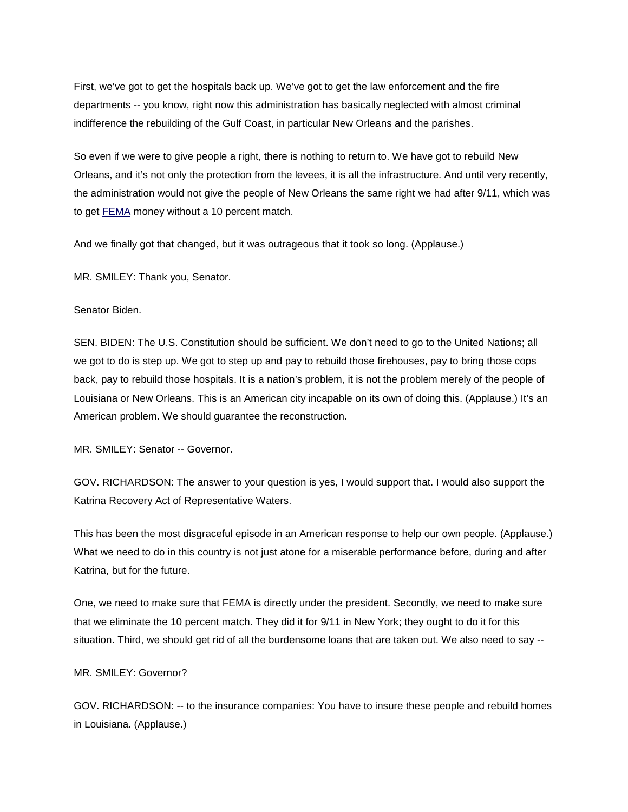First, we've got to get the hospitals back up. We've got to get the law enforcement and the fire departments -- you know, right now this administration has basically neglected with almost criminal indifference the rebuilding of the Gulf Coast, in particular New Orleans and the parishes.

So even if we were to give people a right, there is nothing to return to. We have got to rebuild New Orleans, and it's not only the protection from the levees, it is all the infrastructure. And until very recently, the administration would not give the people of New Orleans the same right we had after 9/11, which was to get FEMA money without a 10 percent match.

And we finally got that changed, but it was outrageous that it took so long. (Applause.)

MR. SMILEY: Thank you, Senator.

# Senator Biden.

SEN. BIDEN: The U.S. Constitution should be sufficient. We don't need to go to the United Nations; all we got to do is step up. We got to step up and pay to rebuild those firehouses, pay to bring those cops back, pay to rebuild those hospitals. It is a nation's problem, it is not the problem merely of the people of Louisiana or New Orleans. This is an American city incapable on its own of doing this. (Applause.) It's an American problem. We should guarantee the reconstruction.

MR. SMILEY: Senator -- Governor.

GOV. RICHARDSON: The answer to your question is yes, I would support that. I would also support the Katrina Recovery Act of Representative Waters.

This has been the most disgraceful episode in an American response to help our own people. (Applause.) What we need to do in this country is not just atone for a miserable performance before, during and after Katrina, but for the future.

One, we need to make sure that FEMA is directly under the president. Secondly, we need to make sure that we eliminate the 10 percent match. They did it for 9/11 in New York; they ought to do it for this situation. Third, we should get rid of all the burdensome loans that are taken out. We also need to say --

# MR. SMILEY: Governor?

GOV. RICHARDSON: -- to the insurance companies: You have to insure these people and rebuild homes in Louisiana. (Applause.)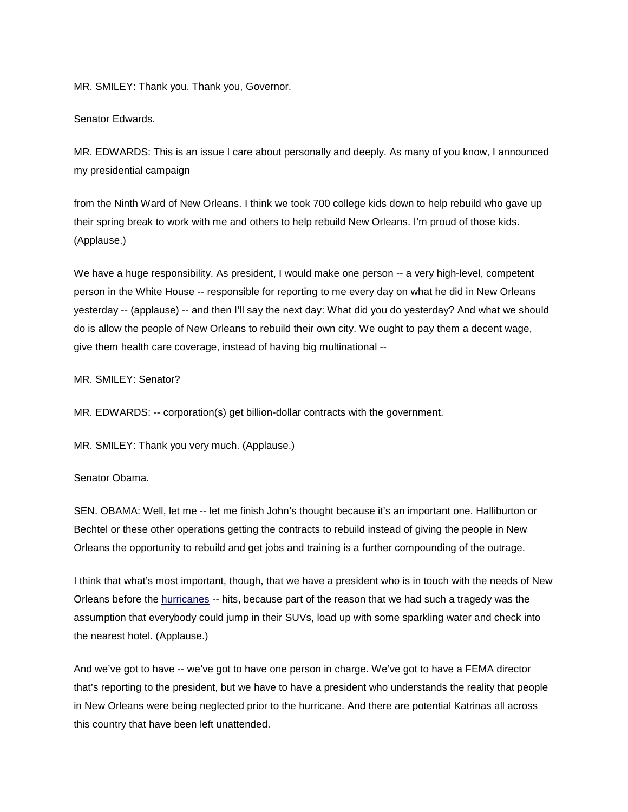MR. SMILEY: Thank you. Thank you, Governor.

Senator Edwards.

MR. EDWARDS: This is an issue I care about personally and deeply. As many of you know, I announced my presidential campaign

from the Ninth Ward of New Orleans. I think we took 700 college kids down to help rebuild who gave up their spring break to work with me and others to help rebuild New Orleans. I'm proud of those kids. (Applause.)

We have a huge responsibility. As president, I would make one person -- a very high-level, competent person in the White House -- responsible for reporting to me every day on what he did in New Orleans yesterday -- (applause) -- and then I'll say the next day: What did you do yesterday? And what we should do is allow the people of New Orleans to rebuild their own city. We ought to pay them a decent wage, give them health care coverage, instead of having big multinational --

### MR. SMILEY: Senator?

MR. EDWARDS: -- corporation(s) get billion-dollar contracts with the government.

MR. SMILEY: Thank you very much. (Applause.)

Senator Obama.

SEN. OBAMA: Well, let me -- let me finish John's thought because it's an important one. Halliburton or Bechtel or these other operations getting the contracts to rebuild instead of giving the people in New Orleans the opportunity to rebuild and get jobs and training is a further compounding of the outrage.

I think that what's most important, though, that we have a president who is in touch with the needs of New Orleans before the hurricanes -- hits, because part of the reason that we had such a tragedy was the assumption that everybody could jump in their SUVs, load up with some sparkling water and check into the nearest hotel. (Applause.)

And we've got to have -- we've got to have one person in charge. We've got to have a FEMA director that's reporting to the president, but we have to have a president who understands the reality that people in New Orleans were being neglected prior to the hurricane. And there are potential Katrinas all across this country that have been left unattended.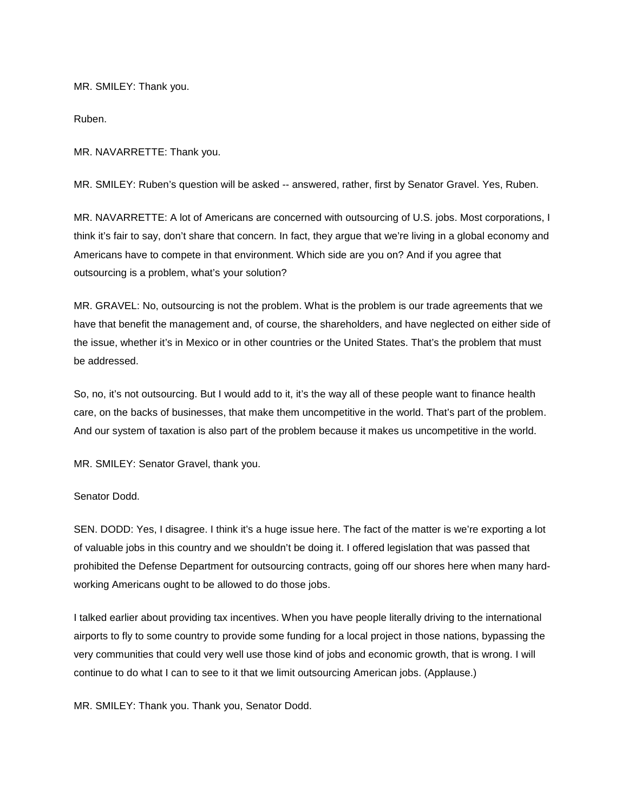MR. SMILEY: Thank you.

Ruben.

MR. NAVARRETTE: Thank you.

MR. SMILEY: Ruben's question will be asked -- answered, rather, first by Senator Gravel. Yes, Ruben.

MR. NAVARRETTE: A lot of Americans are concerned with outsourcing of U.S. jobs. Most corporations, I think it's fair to say, don't share that concern. In fact, they argue that we're living in a global economy and Americans have to compete in that environment. Which side are you on? And if you agree that outsourcing is a problem, what's your solution?

MR. GRAVEL: No, outsourcing is not the problem. What is the problem is our trade agreements that we have that benefit the management and, of course, the shareholders, and have neglected on either side of the issue, whether it's in Mexico or in other countries or the United States. That's the problem that must be addressed.

So, no, it's not outsourcing. But I would add to it, it's the way all of these people want to finance health care, on the backs of businesses, that make them uncompetitive in the world. That's part of the problem. And our system of taxation is also part of the problem because it makes us uncompetitive in the world.

MR. SMILEY: Senator Gravel, thank you.

Senator Dodd.

SEN. DODD: Yes, I disagree. I think it's a huge issue here. The fact of the matter is we're exporting a lot of valuable jobs in this country and we shouldn't be doing it. I offered legislation that was passed that prohibited the Defense Department for outsourcing contracts, going off our shores here when many hardworking Americans ought to be allowed to do those jobs.

I talked earlier about providing tax incentives. When you have people literally driving to the international airports to fly to some country to provide some funding for a local project in those nations, bypassing the very communities that could very well use those kind of jobs and economic growth, that is wrong. I will continue to do what I can to see to it that we limit outsourcing American jobs. (Applause.)

MR. SMILEY: Thank you. Thank you, Senator Dodd.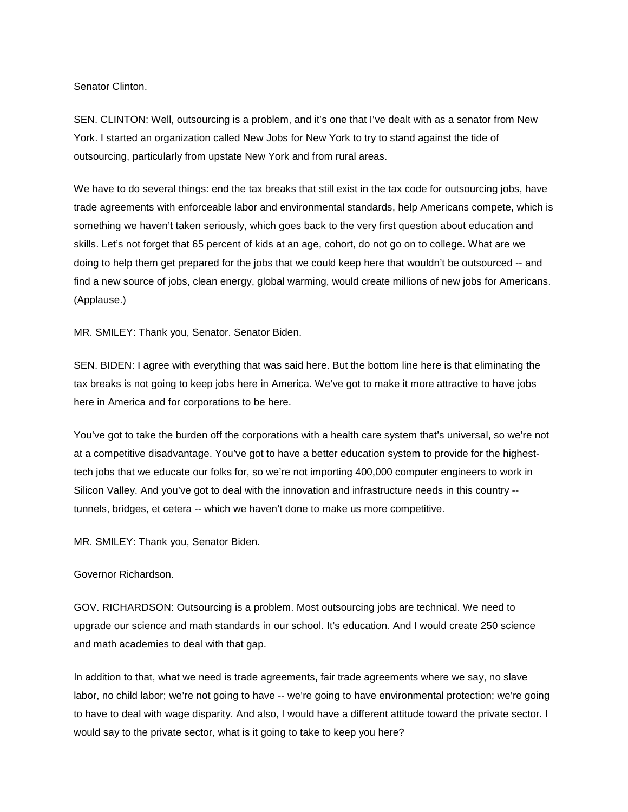Senator Clinton.

SEN. CLINTON: Well, outsourcing is a problem, and it's one that I've dealt with as a senator from New York. I started an organization called New Jobs for New York to try to stand against the tide of outsourcing, particularly from upstate New York and from rural areas.

We have to do several things: end the tax breaks that still exist in the tax code for outsourcing jobs, have trade agreements with enforceable labor and environmental standards, help Americans compete, which is something we haven't taken seriously, which goes back to the very first question about education and skills. Let's not forget that 65 percent of kids at an age, cohort, do not go on to college. What are we doing to help them get prepared for the jobs that we could keep here that wouldn't be outsourced -- and find a new source of jobs, clean energy, global warming, would create millions of new jobs for Americans. (Applause.)

MR. SMILEY: Thank you, Senator. Senator Biden.

SEN. BIDEN: I agree with everything that was said here. But the bottom line here is that eliminating the tax breaks is not going to keep jobs here in America. We've got to make it more attractive to have jobs here in America and for corporations to be here.

You've got to take the burden off the corporations with a health care system that's universal, so we're not at a competitive disadvantage. You've got to have a better education system to provide for the highesttech jobs that we educate our folks for, so we're not importing 400,000 computer engineers to work in Silicon Valley. And you've got to deal with the innovation and infrastructure needs in this country - tunnels, bridges, et cetera -- which we haven't done to make us more competitive.

MR. SMILEY: Thank you, Senator Biden.

#### Governor Richardson.

GOV. RICHARDSON: Outsourcing is a problem. Most outsourcing jobs are technical. We need to upgrade our science and math standards in our school. It's education. And I would create 250 science and math academies to deal with that gap.

In addition to that, what we need is trade agreements, fair trade agreements where we say, no slave labor, no child labor; we're not going to have -- we're going to have environmental protection; we're going to have to deal with wage disparity. And also, I would have a different attitude toward the private sector. I would say to the private sector, what is it going to take to keep you here?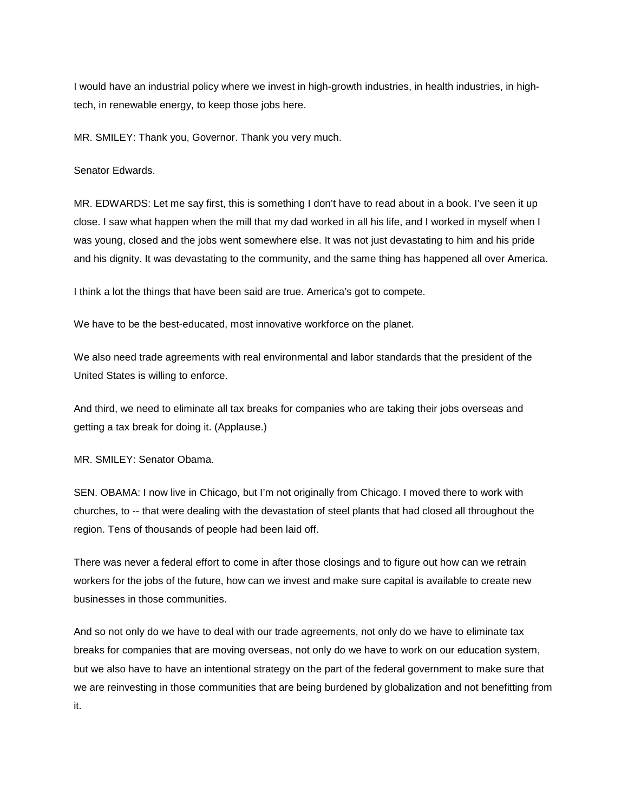I would have an industrial policy where we invest in high-growth industries, in health industries, in hightech, in renewable energy, to keep those jobs here.

MR. SMILEY: Thank you, Governor. Thank you very much.

Senator Edwards.

MR. EDWARDS: Let me say first, this is something I don't have to read about in a book. I've seen it up close. I saw what happen when the mill that my dad worked in all his life, and I worked in myself when I was young, closed and the jobs went somewhere else. It was not just devastating to him and his pride and his dignity. It was devastating to the community, and the same thing has happened all over America.

I think a lot the things that have been said are true. America's got to compete.

We have to be the best-educated, most innovative workforce on the planet.

We also need trade agreements with real environmental and labor standards that the president of the United States is willing to enforce.

And third, we need to eliminate all tax breaks for companies who are taking their jobs overseas and getting a tax break for doing it. (Applause.)

MR. SMILEY: Senator Obama.

SEN. OBAMA: I now live in Chicago, but I'm not originally from Chicago. I moved there to work with churches, to -- that were dealing with the devastation of steel plants that had closed all throughout the region. Tens of thousands of people had been laid off.

There was never a federal effort to come in after those closings and to figure out how can we retrain workers for the jobs of the future, how can we invest and make sure capital is available to create new businesses in those communities.

And so not only do we have to deal with our trade agreements, not only do we have to eliminate tax breaks for companies that are moving overseas, not only do we have to work on our education system, but we also have to have an intentional strategy on the part of the federal government to make sure that we are reinvesting in those communities that are being burdened by globalization and not benefitting from it.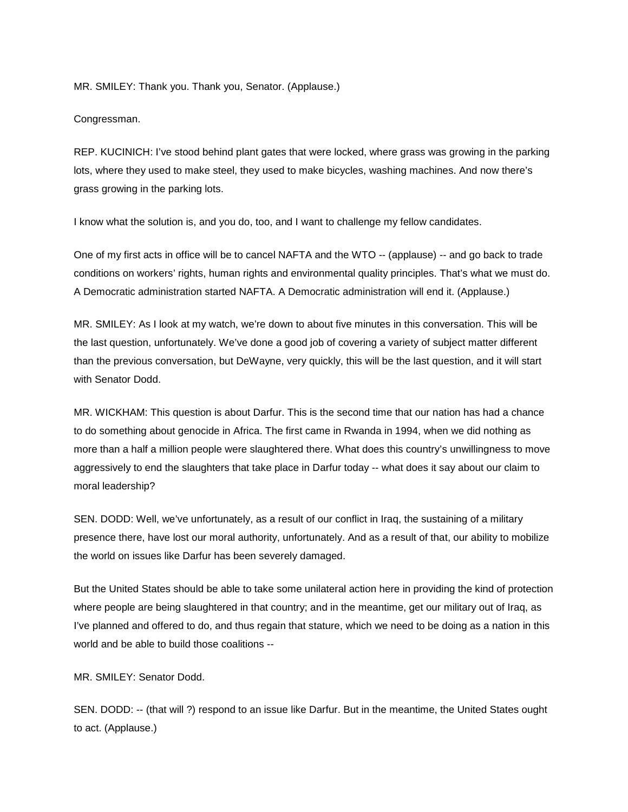MR. SMILEY: Thank you. Thank you, Senator. (Applause.)

Congressman.

REP. KUCINICH: I've stood behind plant gates that were locked, where grass was growing in the parking lots, where they used to make steel, they used to make bicycles, washing machines. And now there's grass growing in the parking lots.

I know what the solution is, and you do, too, and I want to challenge my fellow candidates.

One of my first acts in office will be to cancel NAFTA and the WTO -- (applause) -- and go back to trade conditions on workers' rights, human rights and environmental quality principles. That's what we must do. A Democratic administration started NAFTA. A Democratic administration will end it. (Applause.)

MR. SMILEY: As I look at my watch, we're down to about five minutes in this conversation. This will be the last question, unfortunately. We've done a good job of covering a variety of subject matter different than the previous conversation, but DeWayne, very quickly, this will be the last question, and it will start with Senator Dodd.

MR. WICKHAM: This question is about Darfur. This is the second time that our nation has had a chance to do something about genocide in Africa. The first came in Rwanda in 1994, when we did nothing as more than a half a million people were slaughtered there. What does this country's unwillingness to move aggressively to end the slaughters that take place in Darfur today -- what does it say about our claim to moral leadership?

SEN. DODD: Well, we've unfortunately, as a result of our conflict in Iraq, the sustaining of a military presence there, have lost our moral authority, unfortunately. And as a result of that, our ability to mobilize the world on issues like Darfur has been severely damaged.

But the United States should be able to take some unilateral action here in providing the kind of protection where people are being slaughtered in that country; and in the meantime, get our military out of Iraq, as I've planned and offered to do, and thus regain that stature, which we need to be doing as a nation in this world and be able to build those coalitions --

MR. SMILEY: Senator Dodd.

SEN. DODD: -- (that will ?) respond to an issue like Darfur. But in the meantime, the United States ought to act. (Applause.)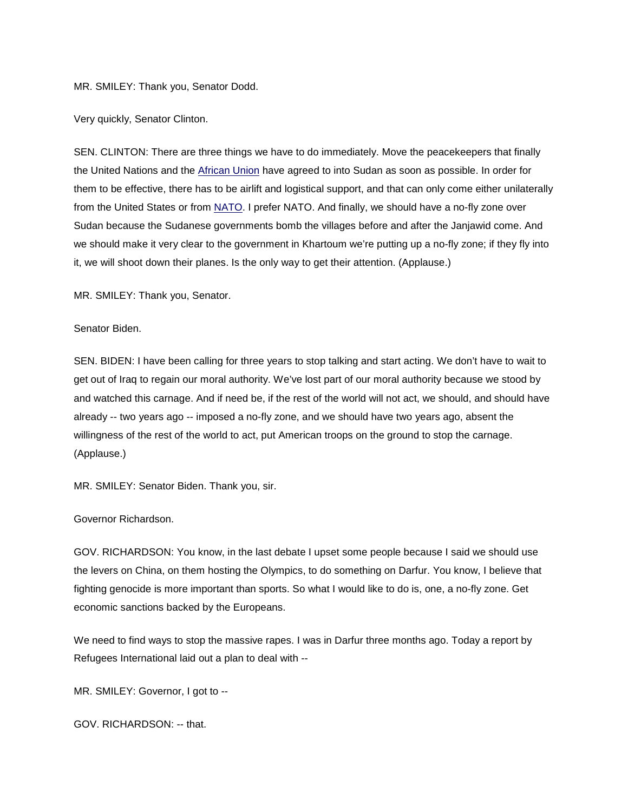MR. SMILEY: Thank you, Senator Dodd.

Very quickly, Senator Clinton.

SEN. CLINTON: There are three things we have to do immediately. Move the peacekeepers that finally the United Nations and the African Union have agreed to into Sudan as soon as possible. In order for them to be effective, there has to be airlift and logistical support, and that can only come either unilaterally from the United States or from NATO. I prefer NATO. And finally, we should have a no-fly zone over Sudan because the Sudanese governments bomb the villages before and after the Janjawid come. And we should make it very clear to the government in Khartoum we're putting up a no-fly zone; if they fly into it, we will shoot down their planes. Is the only way to get their attention. (Applause.)

MR. SMILEY: Thank you, Senator.

# Senator Biden.

SEN. BIDEN: I have been calling for three years to stop talking and start acting. We don't have to wait to get out of Iraq to regain our moral authority. We've lost part of our moral authority because we stood by and watched this carnage. And if need be, if the rest of the world will not act, we should, and should have already -- two years ago -- imposed a no-fly zone, and we should have two years ago, absent the willingness of the rest of the world to act, put American troops on the ground to stop the carnage. (Applause.)

MR. SMILEY: Senator Biden. Thank you, sir.

## Governor Richardson.

GOV. RICHARDSON: You know, in the last debate I upset some people because I said we should use the levers on China, on them hosting the Olympics, to do something on Darfur. You know, I believe that fighting genocide is more important than sports. So what I would like to do is, one, a no-fly zone. Get economic sanctions backed by the Europeans.

We need to find ways to stop the massive rapes. I was in Darfur three months ago. Today a report by Refugees International laid out a plan to deal with --

MR. SMILEY: Governor, I got to --

GOV. RICHARDSON: -- that.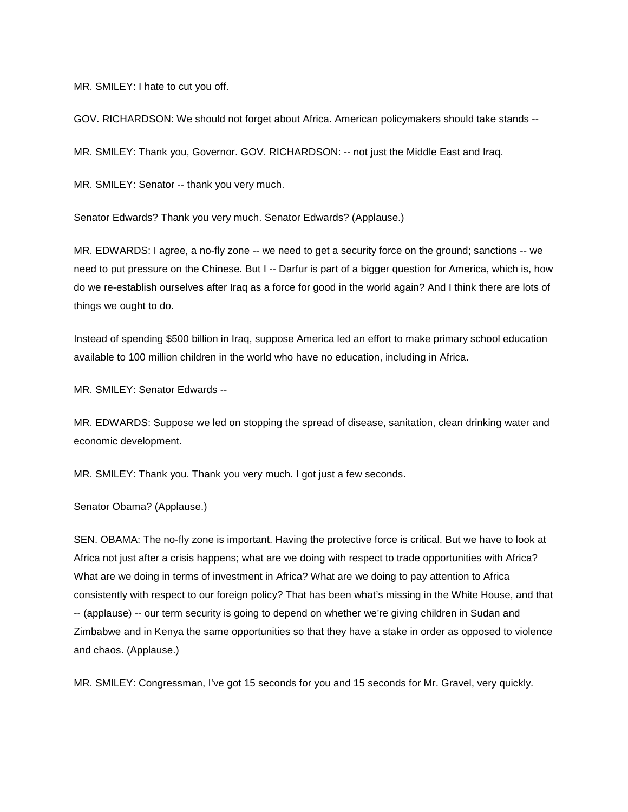MR. SMILEY: I hate to cut you off.

GOV. RICHARDSON: We should not forget about Africa. American policymakers should take stands --

MR. SMILEY: Thank you, Governor. GOV. RICHARDSON: -- not just the Middle East and Iraq.

MR. SMILEY: Senator -- thank you very much.

Senator Edwards? Thank you very much. Senator Edwards? (Applause.)

MR. EDWARDS: I agree, a no-fly zone -- we need to get a security force on the ground; sanctions -- we need to put pressure on the Chinese. But I -- Darfur is part of a bigger question for America, which is, how do we re-establish ourselves after Iraq as a force for good in the world again? And I think there are lots of things we ought to do.

Instead of spending \$500 billion in Iraq, suppose America led an effort to make primary school education available to 100 million children in the world who have no education, including in Africa.

MR. SMILEY: Senator Edwards --

MR. EDWARDS: Suppose we led on stopping the spread of disease, sanitation, clean drinking water and economic development.

MR. SMILEY: Thank you. Thank you very much. I got just a few seconds.

Senator Obama? (Applause.)

SEN. OBAMA: The no-fly zone is important. Having the protective force is critical. But we have to look at Africa not just after a crisis happens; what are we doing with respect to trade opportunities with Africa? What are we doing in terms of investment in Africa? What are we doing to pay attention to Africa consistently with respect to our foreign policy? That has been what's missing in the White House, and that -- (applause) -- our term security is going to depend on whether we're giving children in Sudan and Zimbabwe and in Kenya the same opportunities so that they have a stake in order as opposed to violence and chaos. (Applause.)

MR. SMILEY: Congressman, I've got 15 seconds for you and 15 seconds for Mr. Gravel, very quickly.